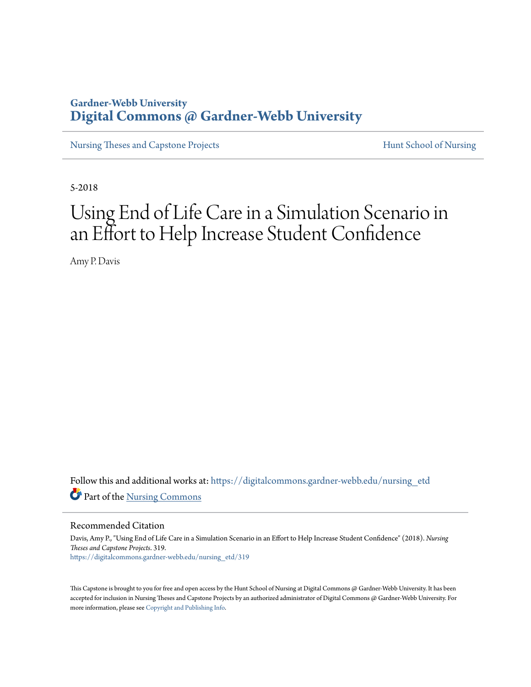# **Gardner-Webb University [Digital Commons @ Gardner-Webb University](https://digitalcommons.gardner-webb.edu/?utm_source=digitalcommons.gardner-webb.edu%2Fnursing_etd%2F319&utm_medium=PDF&utm_campaign=PDFCoverPages)**

[Nursing Theses and Capstone Projects](https://digitalcommons.gardner-webb.edu/nursing_etd?utm_source=digitalcommons.gardner-webb.edu%2Fnursing_etd%2F319&utm_medium=PDF&utm_campaign=PDFCoverPages) **[Hunt School of Nursing](https://digitalcommons.gardner-webb.edu/nursing?utm_source=digitalcommons.gardner-webb.edu%2Fnursing_etd%2F319&utm_medium=PDF&utm_campaign=PDFCoverPages)** 

5-2018

# Using End of Life Care in a Simulation Scenario in an Effort to Help Increase Student Confidence

Amy P. Davis

Follow this and additional works at: [https://digitalcommons.gardner-webb.edu/nursing\\_etd](https://digitalcommons.gardner-webb.edu/nursing_etd?utm_source=digitalcommons.gardner-webb.edu%2Fnursing_etd%2F319&utm_medium=PDF&utm_campaign=PDFCoverPages) Part of the [Nursing Commons](http://network.bepress.com/hgg/discipline/718?utm_source=digitalcommons.gardner-webb.edu%2Fnursing_etd%2F319&utm_medium=PDF&utm_campaign=PDFCoverPages)

Recommended Citation

Davis, Amy P., "Using End of Life Care in a Simulation Scenario in an Effort to Help Increase Student Confidence" (2018). *Nursing Theses and Capstone Projects*. 319. [https://digitalcommons.gardner-webb.edu/nursing\\_etd/319](https://digitalcommons.gardner-webb.edu/nursing_etd/319?utm_source=digitalcommons.gardner-webb.edu%2Fnursing_etd%2F319&utm_medium=PDF&utm_campaign=PDFCoverPages)

This Capstone is brought to you for free and open access by the Hunt School of Nursing at Digital Commons  $\varpi$  Gardner-Webb University. It has been accepted for inclusion in Nursing Theses and Capstone Projects by an authorized administrator of Digital Commons @ Gardner-Webb University. For more information, please see [Copyright and Publishing Info](https://digitalcommons.gardner-webb.edu/copyright_publishing.html).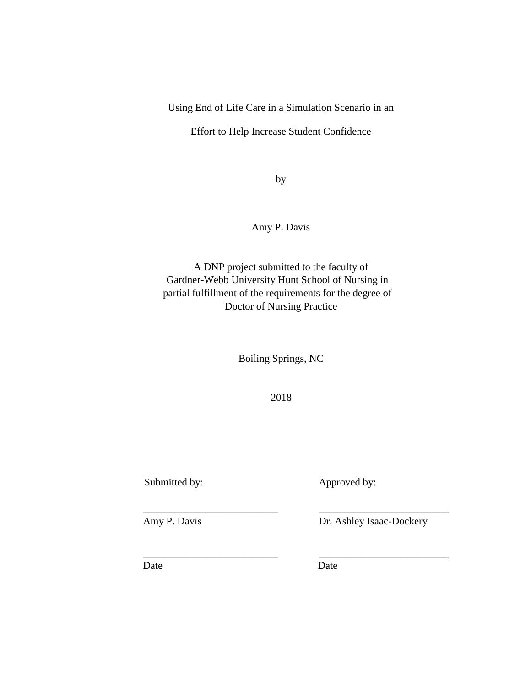Using End of Life Care in a Simulation Scenario in an

Effort to Help Increase Student Confidence

by

Amy P. Davis

A DNP project submitted to the faculty of Gardner-Webb University Hunt School of Nursing in partial fulfillment of the requirements for the degree of Doctor of Nursing Practice

Boiling Springs, NC

2018

\_\_\_\_\_\_\_\_\_\_\_\_\_\_\_\_\_\_\_\_\_\_\_\_\_\_ \_\_\_\_\_\_\_\_\_\_\_\_\_\_\_\_\_\_\_\_\_\_\_\_\_

\_\_\_\_\_\_\_\_\_\_\_\_\_\_\_\_\_\_\_\_\_\_\_\_\_\_ \_\_\_\_\_\_\_\_\_\_\_\_\_\_\_\_\_\_\_\_\_\_\_\_\_

Submitted by: Approved by:

Amy P. Davis Dr. Ashley Isaac-Dockery

Date Date Date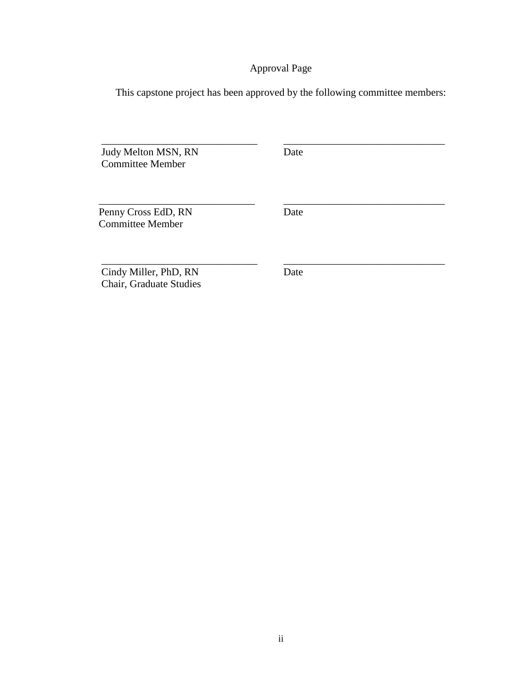# Approval Page

This capstone project has been approved by the following committee members:

 $\overline{\phantom{a}}$  , and the contribution of the contribution of the contribution of the contribution of the contribution of the contribution of the contribution of the contribution of the contribution of the contribution of the

 $\overline{\phantom{a}}$  , and the contribution of the contribution of the contribution of the contribution of the contribution of the contribution of the contribution of the contribution of the contribution of the contribution of the

 $\overline{\phantom{a}}$  , and the contribution of the contribution of the contribution of the contribution of the contribution of the contribution of the contribution of the contribution of the contribution of the contribution of the

Judy Melton MSN, RN Date Committee Member

Penny Cross EdD, RN Date Committee Member

Cindy Miller, PhD, RN Date Chair, Graduate Studies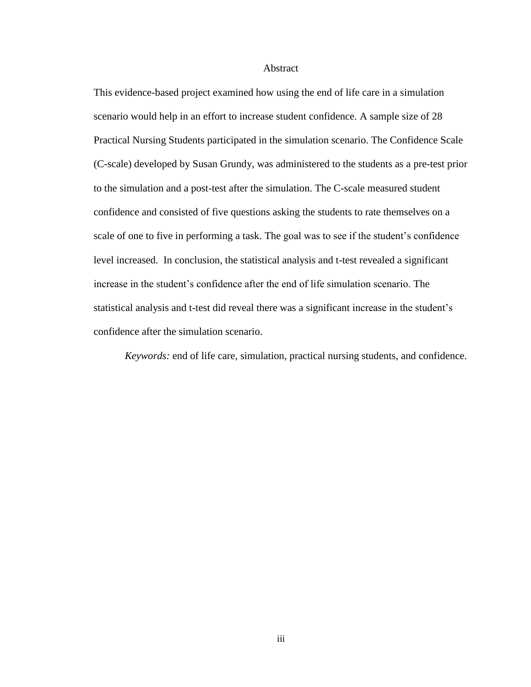#### Abstract

This evidence-based project examined how using the end of life care in a simulation scenario would help in an effort to increase student confidence. A sample size of 28 Practical Nursing Students participated in the simulation scenario. The Confidence Scale (C-scale) developed by Susan Grundy, was administered to the students as a pre-test prior to the simulation and a post-test after the simulation. The C-scale measured student confidence and consisted of five questions asking the students to rate themselves on a scale of one to five in performing a task. The goal was to see if the student's confidence level increased. In conclusion, the statistical analysis and t-test revealed a significant increase in the student's confidence after the end of life simulation scenario. The statistical analysis and t-test did reveal there was a significant increase in the student's confidence after the simulation scenario.

*Keywords:* end of life care, simulation, practical nursing students, and confidence.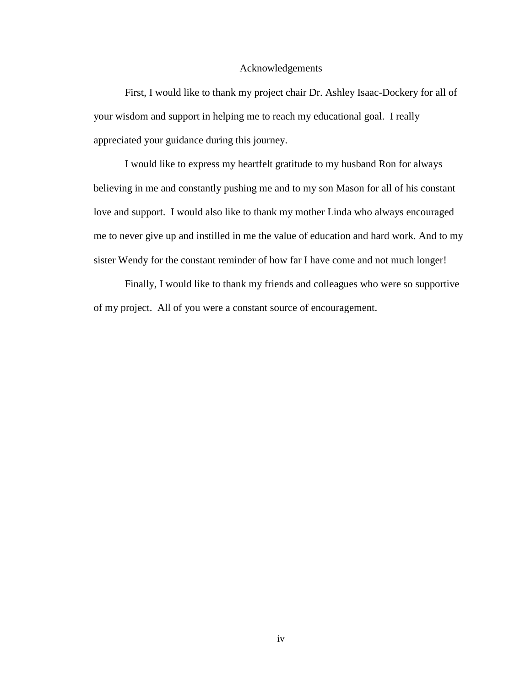#### Acknowledgements

First, I would like to thank my project chair Dr. Ashley Isaac-Dockery for all of your wisdom and support in helping me to reach my educational goal. I really appreciated your guidance during this journey.

I would like to express my heartfelt gratitude to my husband Ron for always believing in me and constantly pushing me and to my son Mason for all of his constant love and support. I would also like to thank my mother Linda who always encouraged me to never give up and instilled in me the value of education and hard work. And to my sister Wendy for the constant reminder of how far I have come and not much longer!

Finally, I would like to thank my friends and colleagues who were so supportive of my project. All of you were a constant source of encouragement.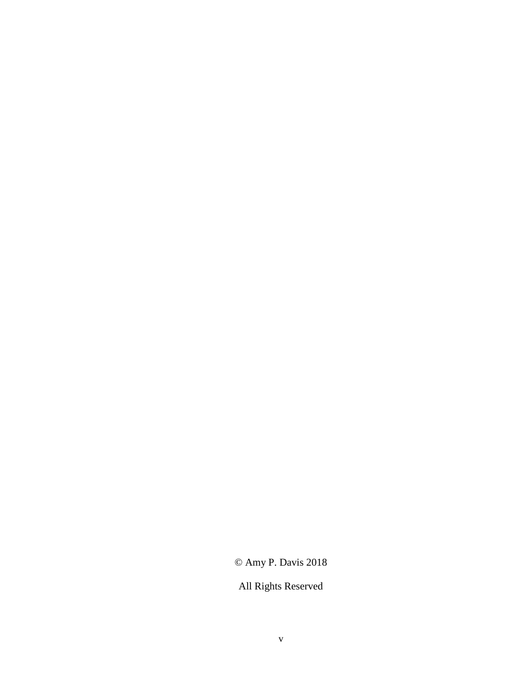# © Amy P. Davis 2018

# All Rights Reserved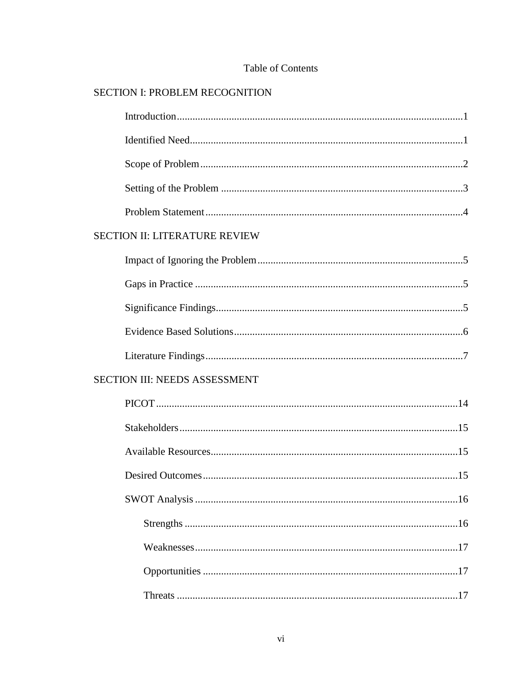| <b>SECTION I: PROBLEM RECOGNITION</b> |
|---------------------------------------|
|                                       |
|                                       |
|                                       |
|                                       |
|                                       |
| <b>SECTION II: LITERATURE REVIEW</b>  |
|                                       |
|                                       |
|                                       |
|                                       |
|                                       |
| <b>SECTION III: NEEDS ASSESSMENT</b>  |
|                                       |
|                                       |
|                                       |
|                                       |
|                                       |
|                                       |
|                                       |
|                                       |
|                                       |
|                                       |

# Table of Contents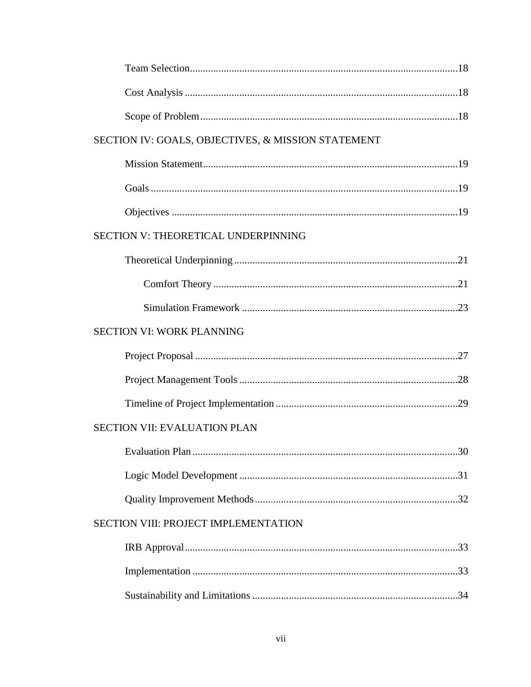| SECTION IV: GOALS, OBJECTIVES, & MISSION STATEMENT |  |
|----------------------------------------------------|--|
|                                                    |  |
|                                                    |  |
|                                                    |  |
| SECTION V: THEORETICAL UNDERPINNING                |  |
|                                                    |  |
|                                                    |  |
|                                                    |  |
| <b>SECTION VI: WORK PLANNING</b>                   |  |
|                                                    |  |
|                                                    |  |
|                                                    |  |
| <b>SECTION VII: EVALUATION PLAN</b>                |  |
|                                                    |  |
|                                                    |  |
|                                                    |  |
| <b>SECTION VIII: PROJECT IMPLEMENTATION</b>        |  |
|                                                    |  |
|                                                    |  |
|                                                    |  |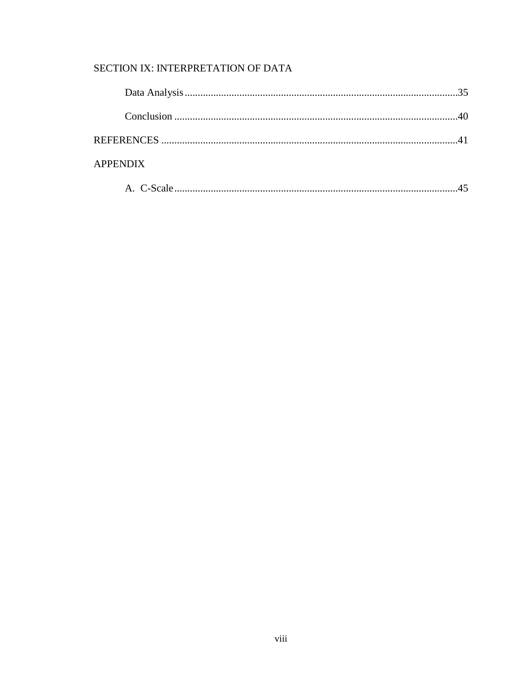# SECTION IX: INTERPRETATION OF DATA

| <b>APPENDIX</b> |  |
|-----------------|--|
|                 |  |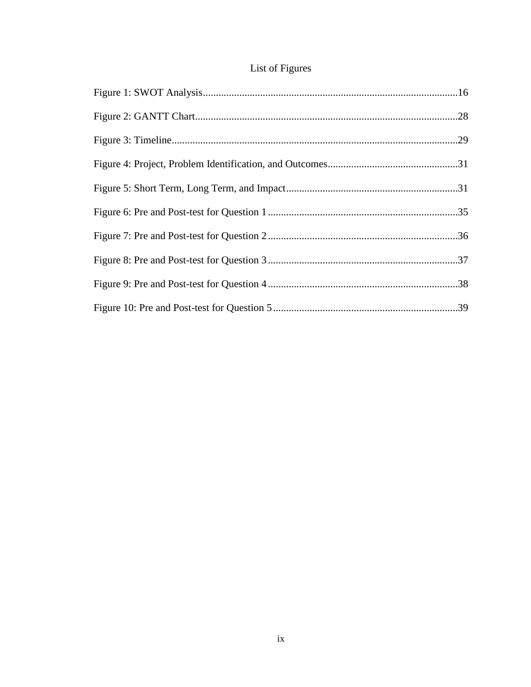# List of Figures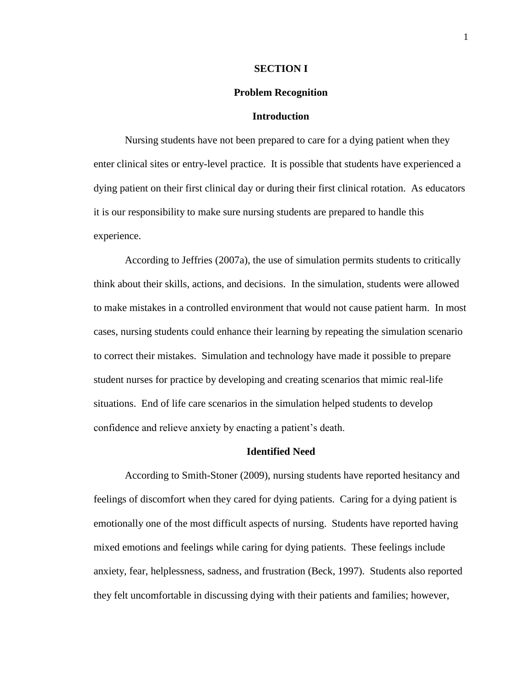#### **SECTION I**

#### **Problem Recognition**

#### **Introduction**

Nursing students have not been prepared to care for a dying patient when they enter clinical sites or entry-level practice. It is possible that students have experienced a dying patient on their first clinical day or during their first clinical rotation. As educators it is our responsibility to make sure nursing students are prepared to handle this experience.

According to Jeffries (2007a), the use of simulation permits students to critically think about their skills, actions, and decisions. In the simulation, students were allowed to make mistakes in a controlled environment that would not cause patient harm. In most cases, nursing students could enhance their learning by repeating the simulation scenario to correct their mistakes. Simulation and technology have made it possible to prepare student nurses for practice by developing and creating scenarios that mimic real-life situations. End of life care scenarios in the simulation helped students to develop confidence and relieve anxiety by enacting a patient's death.

#### **Identified Need**

According to Smith-Stoner (2009), nursing students have reported hesitancy and feelings of discomfort when they cared for dying patients. Caring for a dying patient is emotionally one of the most difficult aspects of nursing. Students have reported having mixed emotions and feelings while caring for dying patients. These feelings include anxiety, fear, helplessness, sadness, and frustration (Beck, 1997). Students also reported they felt uncomfortable in discussing dying with their patients and families; however,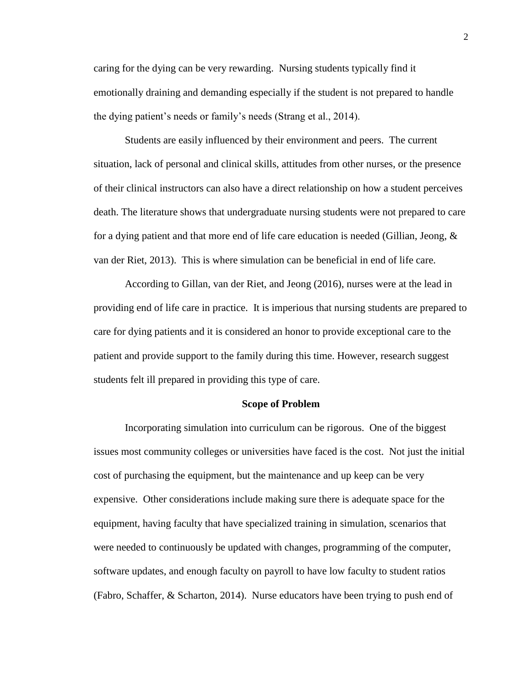caring for the dying can be very rewarding. Nursing students typically find it emotionally draining and demanding especially if the student is not prepared to handle the dying patient's needs or family's needs (Strang et al., 2014).

Students are easily influenced by their environment and peers. The current situation, lack of personal and clinical skills, attitudes from other nurses, or the presence of their clinical instructors can also have a direct relationship on how a student perceives death. The literature shows that undergraduate nursing students were not prepared to care for a dying patient and that more end of life care education is needed (Gillian, Jeong,  $\&$ van der Riet, 2013). This is where simulation can be beneficial in end of life care.

According to Gillan, van der Riet, and Jeong (2016), nurses were at the lead in providing end of life care in practice. It is imperious that nursing students are prepared to care for dying patients and it is considered an honor to provide exceptional care to the patient and provide support to the family during this time. However, research suggest students felt ill prepared in providing this type of care.

#### **Scope of Problem**

Incorporating simulation into curriculum can be rigorous. One of the biggest issues most community colleges or universities have faced is the cost. Not just the initial cost of purchasing the equipment, but the maintenance and up keep can be very expensive. Other considerations include making sure there is adequate space for the equipment, having faculty that have specialized training in simulation, scenarios that were needed to continuously be updated with changes, programming of the computer, software updates, and enough faculty on payroll to have low faculty to student ratios (Fabro, Schaffer, & Scharton, 2014). Nurse educators have been trying to push end of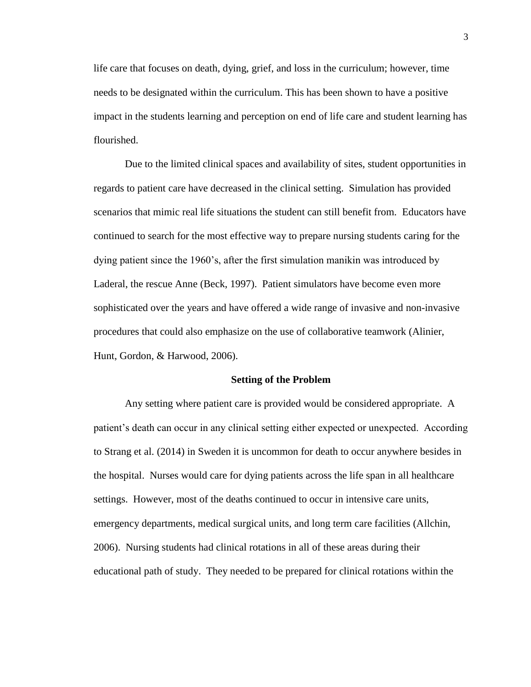life care that focuses on death, dying, grief, and loss in the curriculum; however, time needs to be designated within the curriculum. This has been shown to have a positive impact in the students learning and perception on end of life care and student learning has flourished.

Due to the limited clinical spaces and availability of sites, student opportunities in regards to patient care have decreased in the clinical setting. Simulation has provided scenarios that mimic real life situations the student can still benefit from. Educators have continued to search for the most effective way to prepare nursing students caring for the dying patient since the 1960's, after the first simulation manikin was introduced by Laderal, the rescue Anne (Beck, 1997). Patient simulators have become even more sophisticated over the years and have offered a wide range of invasive and non-invasive procedures that could also emphasize on the use of collaborative teamwork (Alinier, Hunt, Gordon, & Harwood, 2006).

#### **Setting of the Problem**

Any setting where patient care is provided would be considered appropriate. A patient's death can occur in any clinical setting either expected or unexpected. According to Strang et al. (2014) in Sweden it is uncommon for death to occur anywhere besides in the hospital. Nurses would care for dying patients across the life span in all healthcare settings. However, most of the deaths continued to occur in intensive care units, emergency departments, medical surgical units, and long term care facilities (Allchin, 2006). Nursing students had clinical rotations in all of these areas during their educational path of study. They needed to be prepared for clinical rotations within the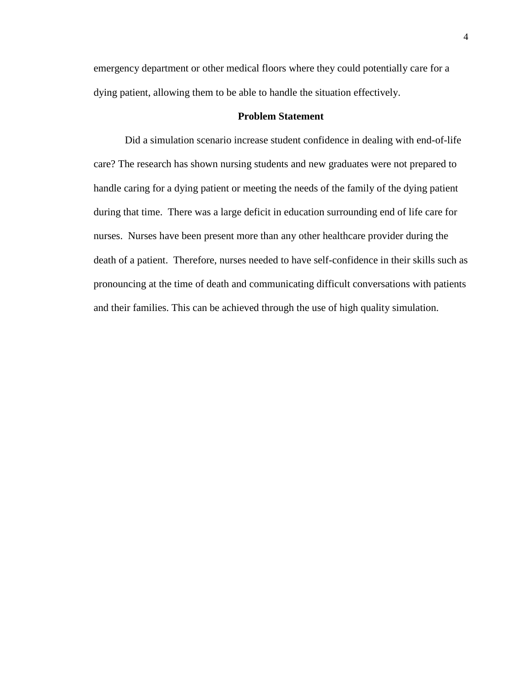emergency department or other medical floors where they could potentially care for a dying patient, allowing them to be able to handle the situation effectively.

### **Problem Statement**

Did a simulation scenario increase student confidence in dealing with end-of-life care? The research has shown nursing students and new graduates were not prepared to handle caring for a dying patient or meeting the needs of the family of the dying patient during that time. There was a large deficit in education surrounding end of life care for nurses. Nurses have been present more than any other healthcare provider during the death of a patient. Therefore, nurses needed to have self-confidence in their skills such as pronouncing at the time of death and communicating difficult conversations with patients and their families. This can be achieved through the use of high quality simulation.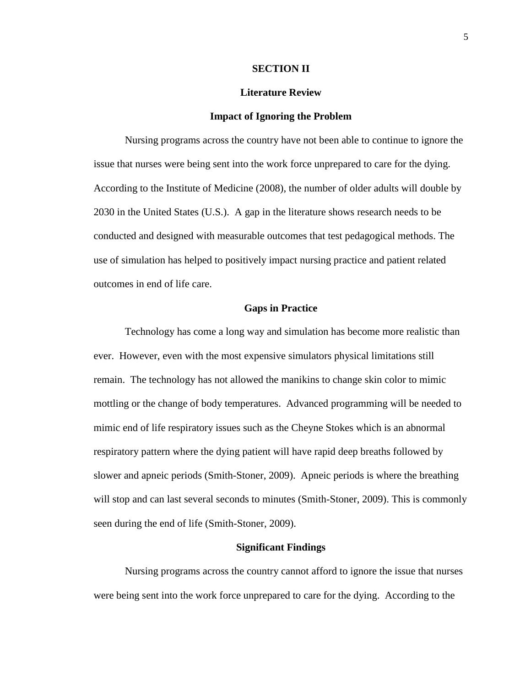### **SECTION II**

#### **Literature Review**

#### **Impact of Ignoring the Problem**

Nursing programs across the country have not been able to continue to ignore the issue that nurses were being sent into the work force unprepared to care for the dying. According to the Institute of Medicine (2008), the number of older adults will double by 2030 in the United States (U.S.). A gap in the literature shows research needs to be conducted and designed with measurable outcomes that test pedagogical methods. The use of simulation has helped to positively impact nursing practice and patient related outcomes in end of life care.

#### **Gaps in Practice**

Technology has come a long way and simulation has become more realistic than ever. However, even with the most expensive simulators physical limitations still remain. The technology has not allowed the manikins to change skin color to mimic mottling or the change of body temperatures. Advanced programming will be needed to mimic end of life respiratory issues such as the Cheyne Stokes which is an abnormal respiratory pattern where the dying patient will have rapid deep breaths followed by slower and apneic periods (Smith-Stoner, 2009). Apneic periods is where the breathing will stop and can last several seconds to minutes (Smith-Stoner, 2009). This is commonly seen during the end of life (Smith-Stoner, 2009).

#### **Significant Findings**

Nursing programs across the country cannot afford to ignore the issue that nurses were being sent into the work force unprepared to care for the dying. According to the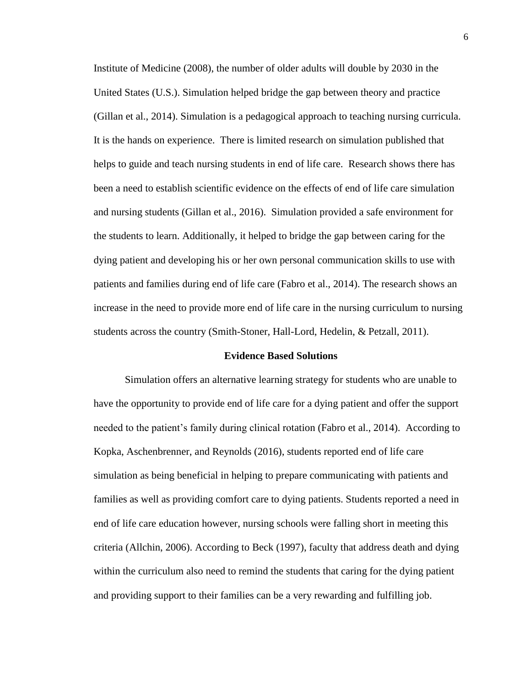Institute of Medicine (2008), the number of older adults will double by 2030 in the United States (U.S.). Simulation helped bridge the gap between theory and practice (Gillan et al., 2014). Simulation is a pedagogical approach to teaching nursing curricula. It is the hands on experience. There is limited research on simulation published that helps to guide and teach nursing students in end of life care. Research shows there has been a need to establish scientific evidence on the effects of end of life care simulation and nursing students (Gillan et al., 2016). Simulation provided a safe environment for the students to learn. Additionally, it helped to bridge the gap between caring for the dying patient and developing his or her own personal communication skills to use with patients and families during end of life care (Fabro et al., 2014). The research shows an increase in the need to provide more end of life care in the nursing curriculum to nursing students across the country (Smith-Stoner, Hall-Lord, Hedelin, & Petzall, 2011).

#### **Evidence Based Solutions**

Simulation offers an alternative learning strategy for students who are unable to have the opportunity to provide end of life care for a dying patient and offer the support needed to the patient's family during clinical rotation (Fabro et al., 2014). According to Kopka, Aschenbrenner, and Reynolds (2016), students reported end of life care simulation as being beneficial in helping to prepare communicating with patients and families as well as providing comfort care to dying patients. Students reported a need in end of life care education however, nursing schools were falling short in meeting this criteria (Allchin, 2006). According to Beck (1997), faculty that address death and dying within the curriculum also need to remind the students that caring for the dying patient and providing support to their families can be a very rewarding and fulfilling job.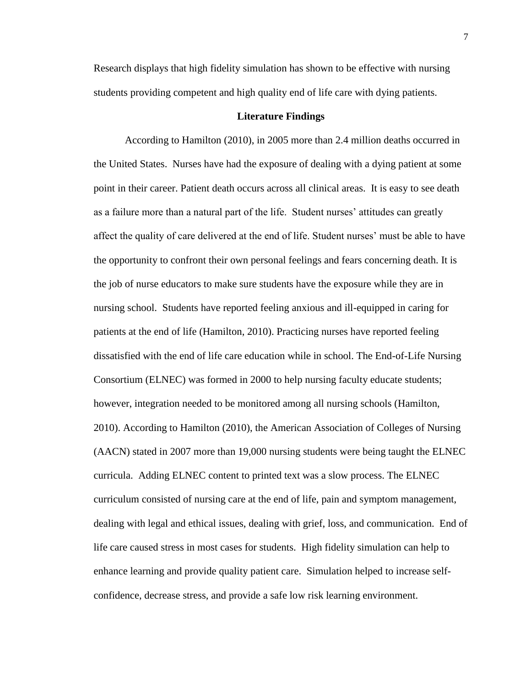Research displays that high fidelity simulation has shown to be effective with nursing students providing competent and high quality end of life care with dying patients.

#### **Literature Findings**

According to Hamilton (2010), in 2005 more than 2.4 million deaths occurred in the United States. Nurses have had the exposure of dealing with a dying patient at some point in their career. Patient death occurs across all clinical areas. It is easy to see death as a failure more than a natural part of the life. Student nurses' attitudes can greatly affect the quality of care delivered at the end of life. Student nurses' must be able to have the opportunity to confront their own personal feelings and fears concerning death. It is the job of nurse educators to make sure students have the exposure while they are in nursing school. Students have reported feeling anxious and ill-equipped in caring for patients at the end of life (Hamilton, 2010). Practicing nurses have reported feeling dissatisfied with the end of life care education while in school. The End-of-Life Nursing Consortium (ELNEC) was formed in 2000 to help nursing faculty educate students; however, integration needed to be monitored among all nursing schools (Hamilton, 2010). According to Hamilton (2010), the American Association of Colleges of Nursing (AACN) stated in 2007 more than 19,000 nursing students were being taught the ELNEC curricula. Adding ELNEC content to printed text was a slow process. The ELNEC curriculum consisted of nursing care at the end of life, pain and symptom management, dealing with legal and ethical issues, dealing with grief, loss, and communication. End of life care caused stress in most cases for students. High fidelity simulation can help to enhance learning and provide quality patient care. Simulation helped to increase selfconfidence, decrease stress, and provide a safe low risk learning environment.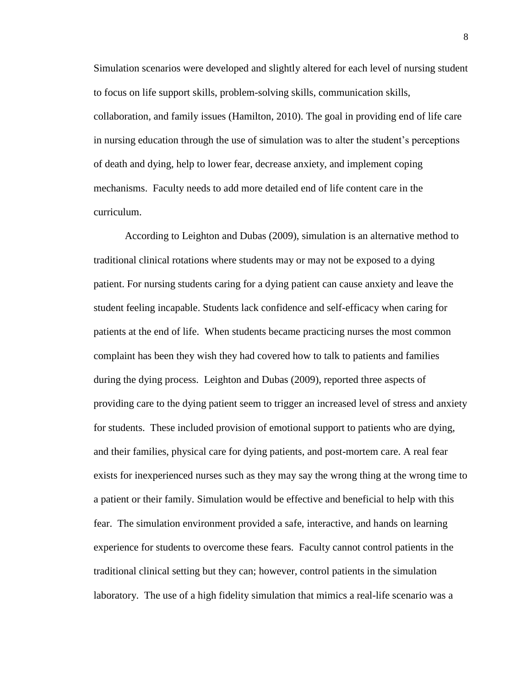Simulation scenarios were developed and slightly altered for each level of nursing student to focus on life support skills, problem-solving skills, communication skills, collaboration, and family issues (Hamilton, 2010). The goal in providing end of life care in nursing education through the use of simulation was to alter the student's perceptions of death and dying, help to lower fear, decrease anxiety, and implement coping mechanisms. Faculty needs to add more detailed end of life content care in the curriculum.

According to Leighton and Dubas (2009), simulation is an alternative method to traditional clinical rotations where students may or may not be exposed to a dying patient. For nursing students caring for a dying patient can cause anxiety and leave the student feeling incapable. Students lack confidence and self-efficacy when caring for patients at the end of life. When students became practicing nurses the most common complaint has been they wish they had covered how to talk to patients and families during the dying process. Leighton and Dubas (2009), reported three aspects of providing care to the dying patient seem to trigger an increased level of stress and anxiety for students. These included provision of emotional support to patients who are dying, and their families, physical care for dying patients, and post-mortem care. A real fear exists for inexperienced nurses such as they may say the wrong thing at the wrong time to a patient or their family. Simulation would be effective and beneficial to help with this fear. The simulation environment provided a safe, interactive, and hands on learning experience for students to overcome these fears. Faculty cannot control patients in the traditional clinical setting but they can; however, control patients in the simulation laboratory. The use of a high fidelity simulation that mimics a real-life scenario was a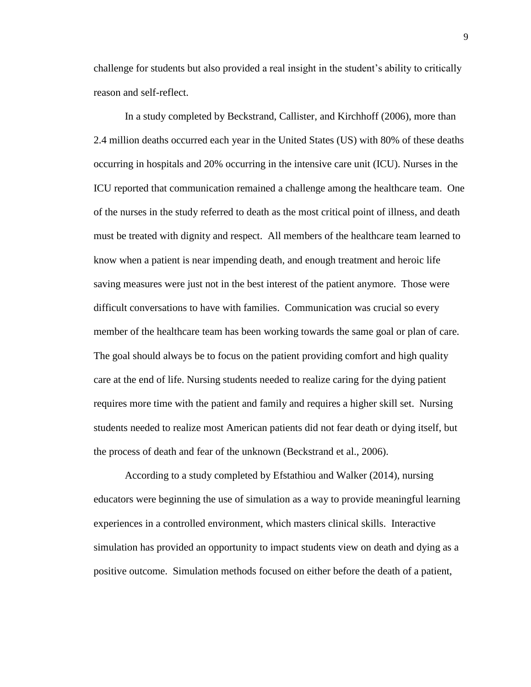challenge for students but also provided a real insight in the student's ability to critically reason and self-reflect.

In a study completed by Beckstrand, Callister, and Kirchhoff (2006), more than 2.4 million deaths occurred each year in the United States (US) with 80% of these deaths occurring in hospitals and 20% occurring in the intensive care unit (ICU). Nurses in the ICU reported that communication remained a challenge among the healthcare team. One of the nurses in the study referred to death as the most critical point of illness, and death must be treated with dignity and respect. All members of the healthcare team learned to know when a patient is near impending death, and enough treatment and heroic life saving measures were just not in the best interest of the patient anymore. Those were difficult conversations to have with families. Communication was crucial so every member of the healthcare team has been working towards the same goal or plan of care. The goal should always be to focus on the patient providing comfort and high quality care at the end of life. Nursing students needed to realize caring for the dying patient requires more time with the patient and family and requires a higher skill set. Nursing students needed to realize most American patients did not fear death or dying itself, but the process of death and fear of the unknown (Beckstrand et al., 2006).

According to a study completed by Efstathiou and Walker (2014), nursing educators were beginning the use of simulation as a way to provide meaningful learning experiences in a controlled environment, which masters clinical skills. Interactive simulation has provided an opportunity to impact students view on death and dying as a positive outcome. Simulation methods focused on either before the death of a patient,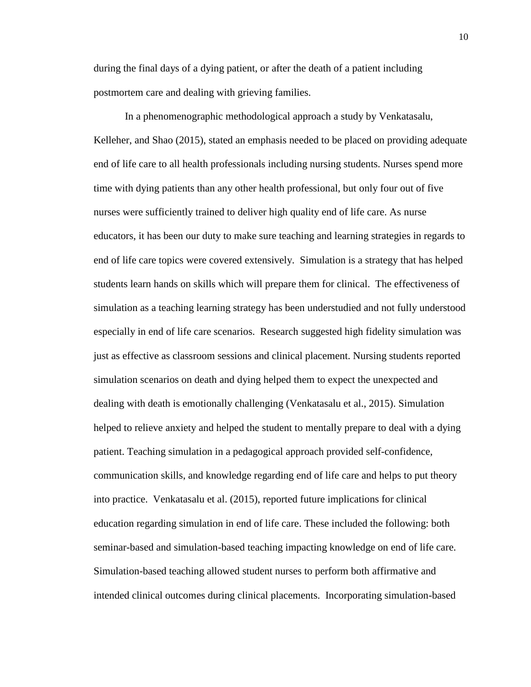during the final days of a dying patient, or after the death of a patient including postmortem care and dealing with grieving families.

In a phenomenographic methodological approach a study by Venkatasalu, Kelleher, and Shao (2015), stated an emphasis needed to be placed on providing adequate end of life care to all health professionals including nursing students. Nurses spend more time with dying patients than any other health professional, but only four out of five nurses were sufficiently trained to deliver high quality end of life care. As nurse educators, it has been our duty to make sure teaching and learning strategies in regards to end of life care topics were covered extensively. Simulation is a strategy that has helped students learn hands on skills which will prepare them for clinical. The effectiveness of simulation as a teaching learning strategy has been understudied and not fully understood especially in end of life care scenarios. Research suggested high fidelity simulation was just as effective as classroom sessions and clinical placement. Nursing students reported simulation scenarios on death and dying helped them to expect the unexpected and dealing with death is emotionally challenging (Venkatasalu et al., 2015). Simulation helped to relieve anxiety and helped the student to mentally prepare to deal with a dying patient. Teaching simulation in a pedagogical approach provided self-confidence, communication skills, and knowledge regarding end of life care and helps to put theory into practice. Venkatasalu et al. (2015), reported future implications for clinical education regarding simulation in end of life care. These included the following: both seminar-based and simulation-based teaching impacting knowledge on end of life care. Simulation-based teaching allowed student nurses to perform both affirmative and intended clinical outcomes during clinical placements. Incorporating simulation-based

10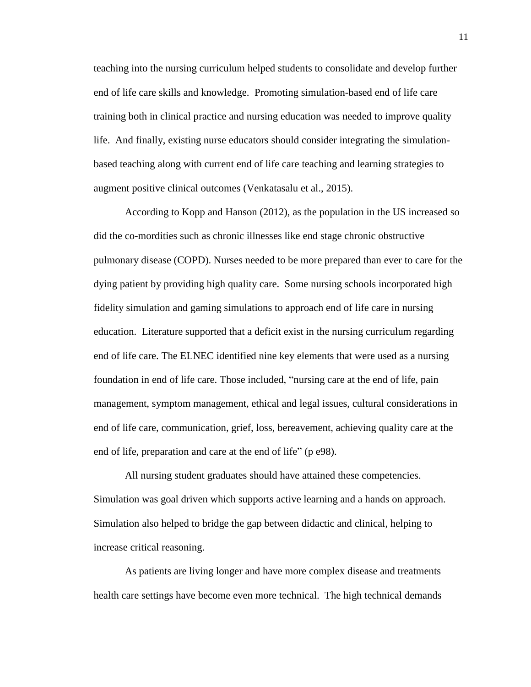teaching into the nursing curriculum helped students to consolidate and develop further end of life care skills and knowledge. Promoting simulation-based end of life care training both in clinical practice and nursing education was needed to improve quality life. And finally, existing nurse educators should consider integrating the simulationbased teaching along with current end of life care teaching and learning strategies to augment positive clinical outcomes (Venkatasalu et al., 2015).

According to Kopp and Hanson (2012), as the population in the US increased so did the co-mordities such as chronic illnesses like end stage chronic obstructive pulmonary disease (COPD). Nurses needed to be more prepared than ever to care for the dying patient by providing high quality care. Some nursing schools incorporated high fidelity simulation and gaming simulations to approach end of life care in nursing education. Literature supported that a deficit exist in the nursing curriculum regarding end of life care. The ELNEC identified nine key elements that were used as a nursing foundation in end of life care. Those included, "nursing care at the end of life, pain management, symptom management, ethical and legal issues, cultural considerations in end of life care, communication, grief, loss, bereavement, achieving quality care at the end of life, preparation and care at the end of life" (p e98).

All nursing student graduates should have attained these competencies. Simulation was goal driven which supports active learning and a hands on approach. Simulation also helped to bridge the gap between didactic and clinical, helping to increase critical reasoning.

As patients are living longer and have more complex disease and treatments health care settings have become even more technical. The high technical demands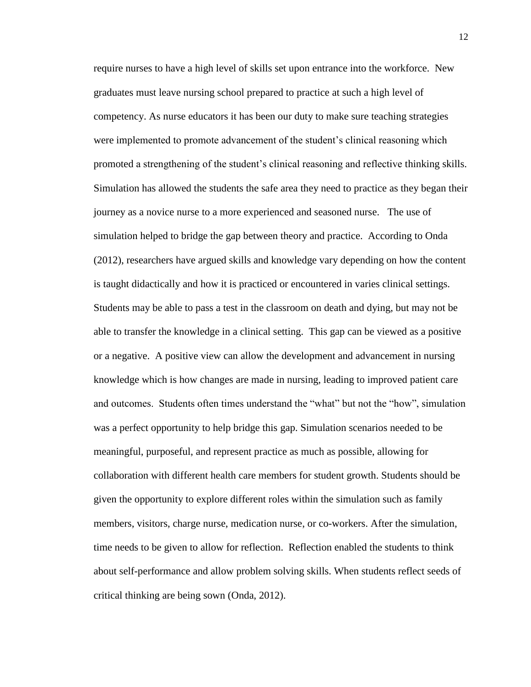require nurses to have a high level of skills set upon entrance into the workforce. New graduates must leave nursing school prepared to practice at such a high level of competency. As nurse educators it has been our duty to make sure teaching strategies were implemented to promote advancement of the student's clinical reasoning which promoted a strengthening of the student's clinical reasoning and reflective thinking skills. Simulation has allowed the students the safe area they need to practice as they began their journey as a novice nurse to a more experienced and seasoned nurse. The use of simulation helped to bridge the gap between theory and practice. According to Onda (2012), researchers have argued skills and knowledge vary depending on how the content is taught didactically and how it is practiced or encountered in varies clinical settings. Students may be able to pass a test in the classroom on death and dying, but may not be able to transfer the knowledge in a clinical setting. This gap can be viewed as a positive or a negative. A positive view can allow the development and advancement in nursing knowledge which is how changes are made in nursing, leading to improved patient care and outcomes. Students often times understand the "what" but not the "how", simulation was a perfect opportunity to help bridge this gap. Simulation scenarios needed to be meaningful, purposeful, and represent practice as much as possible, allowing for collaboration with different health care members for student growth. Students should be given the opportunity to explore different roles within the simulation such as family members, visitors, charge nurse, medication nurse, or co-workers. After the simulation, time needs to be given to allow for reflection. Reflection enabled the students to think about self-performance and allow problem solving skills. When students reflect seeds of critical thinking are being sown (Onda, 2012).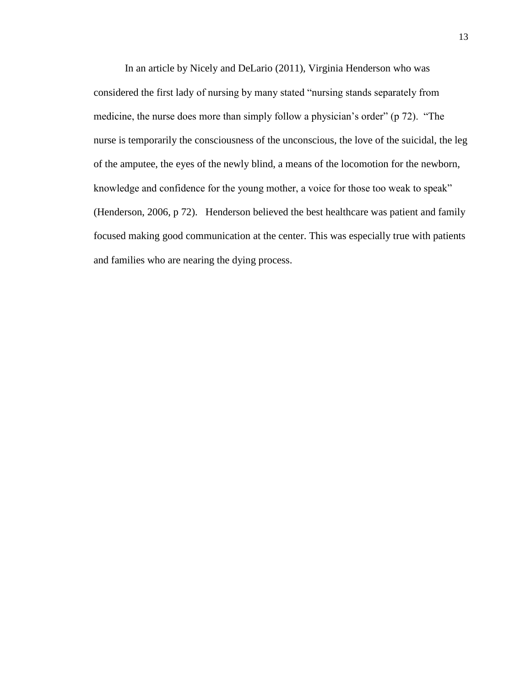In an article by Nicely and DeLario (2011), Virginia Henderson who was considered the first lady of nursing by many stated "nursing stands separately from medicine, the nurse does more than simply follow a physician's order" (p 72). "The nurse is temporarily the consciousness of the unconscious, the love of the suicidal, the leg of the amputee, the eyes of the newly blind, a means of the locomotion for the newborn, knowledge and confidence for the young mother, a voice for those too weak to speak" (Henderson, 2006, p 72). Henderson believed the best healthcare was patient and family focused making good communication at the center. This was especially true with patients and families who are nearing the dying process.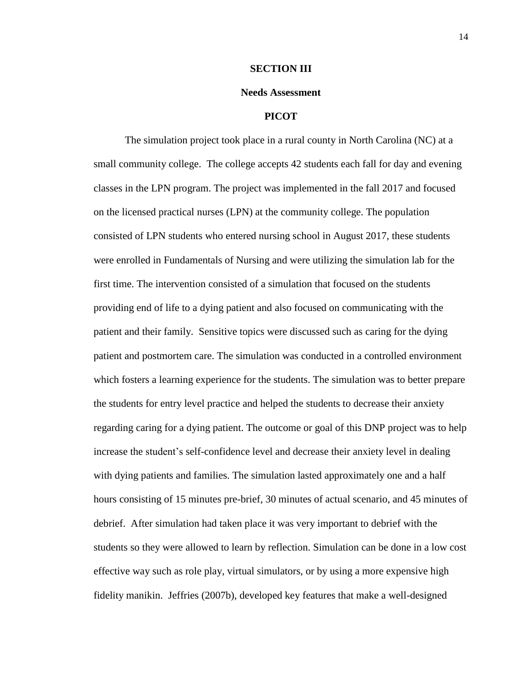#### **SECTION III**

#### **Needs Assessment**

### **PICOT**

The simulation project took place in a rural county in North Carolina (NC) at a small community college. The college accepts 42 students each fall for day and evening classes in the LPN program. The project was implemented in the fall 2017 and focused on the licensed practical nurses (LPN) at the community college. The population consisted of LPN students who entered nursing school in August 2017, these students were enrolled in Fundamentals of Nursing and were utilizing the simulation lab for the first time. The intervention consisted of a simulation that focused on the students providing end of life to a dying patient and also focused on communicating with the patient and their family. Sensitive topics were discussed such as caring for the dying patient and postmortem care. The simulation was conducted in a controlled environment which fosters a learning experience for the students. The simulation was to better prepare the students for entry level practice and helped the students to decrease their anxiety regarding caring for a dying patient. The outcome or goal of this DNP project was to help increase the student's self-confidence level and decrease their anxiety level in dealing with dying patients and families. The simulation lasted approximately one and a half hours consisting of 15 minutes pre-brief, 30 minutes of actual scenario, and 45 minutes of debrief. After simulation had taken place it was very important to debrief with the students so they were allowed to learn by reflection. Simulation can be done in a low cost effective way such as role play, virtual simulators, or by using a more expensive high fidelity manikin. Jeffries (2007b), developed key features that make a well-designed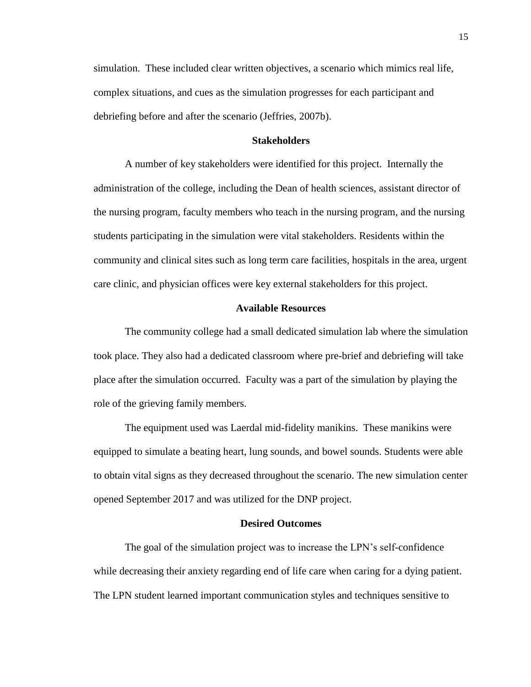simulation. These included clear written objectives, a scenario which mimics real life, complex situations, and cues as the simulation progresses for each participant and debriefing before and after the scenario (Jeffries, 2007b).

### **Stakeholders**

A number of key stakeholders were identified for this project. Internally the administration of the college, including the Dean of health sciences, assistant director of the nursing program, faculty members who teach in the nursing program, and the nursing students participating in the simulation were vital stakeholders. Residents within the community and clinical sites such as long term care facilities, hospitals in the area, urgent care clinic, and physician offices were key external stakeholders for this project.

#### **Available Resources**

The community college had a small dedicated simulation lab where the simulation took place. They also had a dedicated classroom where pre-brief and debriefing will take place after the simulation occurred. Faculty was a part of the simulation by playing the role of the grieving family members.

The equipment used was Laerdal mid-fidelity manikins. These manikins were equipped to simulate a beating heart, lung sounds, and bowel sounds. Students were able to obtain vital signs as they decreased throughout the scenario. The new simulation center opened September 2017 and was utilized for the DNP project.

### **Desired Outcomes**

The goal of the simulation project was to increase the LPN's self-confidence while decreasing their anxiety regarding end of life care when caring for a dying patient. The LPN student learned important communication styles and techniques sensitive to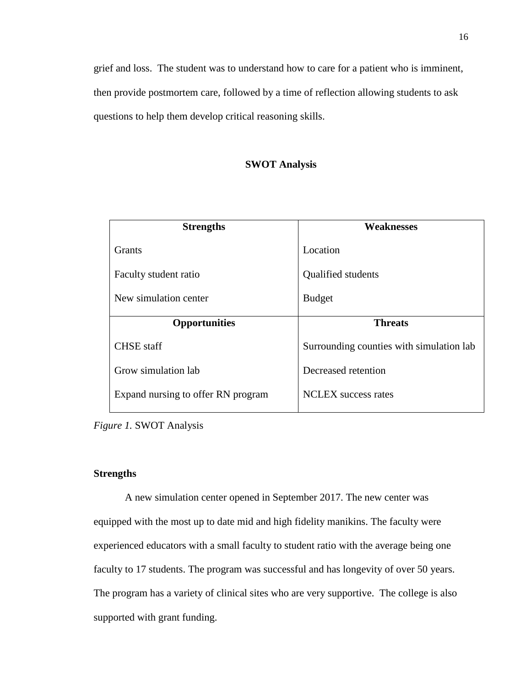grief and loss. The student was to understand how to care for a patient who is imminent, then provide postmortem care, followed by a time of reflection allowing students to ask questions to help them develop critical reasoning skills.

# **SWOT Analysis**

| <b>Strengths</b>      | <b>Weaknesses</b>                        |
|-----------------------|------------------------------------------|
| Grants                | Location                                 |
| Faculty student ratio | Qualified students                       |
| New simulation center | <b>Budget</b>                            |
| <b>Opportunities</b>  | <b>Threats</b>                           |
| <b>CHSE</b> staff     | Surrounding counties with simulation lab |
|                       |                                          |
| Grow simulation lab   | Decreased retention                      |

*Figure 1.* SWOT Analysis

#### **Strengths**

A new simulation center opened in September 2017. The new center was equipped with the most up to date mid and high fidelity manikins. The faculty were experienced educators with a small faculty to student ratio with the average being one faculty to 17 students. The program was successful and has longevity of over 50 years. The program has a variety of clinical sites who are very supportive. The college is also supported with grant funding.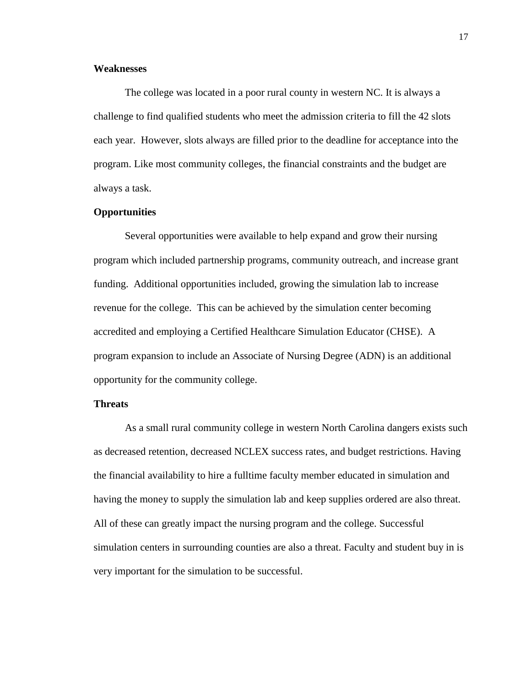### **Weaknesses**

The college was located in a poor rural county in western NC. It is always a challenge to find qualified students who meet the admission criteria to fill the 42 slots each year. However, slots always are filled prior to the deadline for acceptance into the program. Like most community colleges, the financial constraints and the budget are always a task.

### **Opportunities**

Several opportunities were available to help expand and grow their nursing program which included partnership programs, community outreach, and increase grant funding. Additional opportunities included, growing the simulation lab to increase revenue for the college. This can be achieved by the simulation center becoming accredited and employing a Certified Healthcare Simulation Educator (CHSE). A program expansion to include an Associate of Nursing Degree (ADN) is an additional opportunity for the community college.

#### **Threats**

As a small rural community college in western North Carolina dangers exists such as decreased retention, decreased NCLEX success rates, and budget restrictions. Having the financial availability to hire a fulltime faculty member educated in simulation and having the money to supply the simulation lab and keep supplies ordered are also threat. All of these can greatly impact the nursing program and the college. Successful simulation centers in surrounding counties are also a threat. Faculty and student buy in is very important for the simulation to be successful.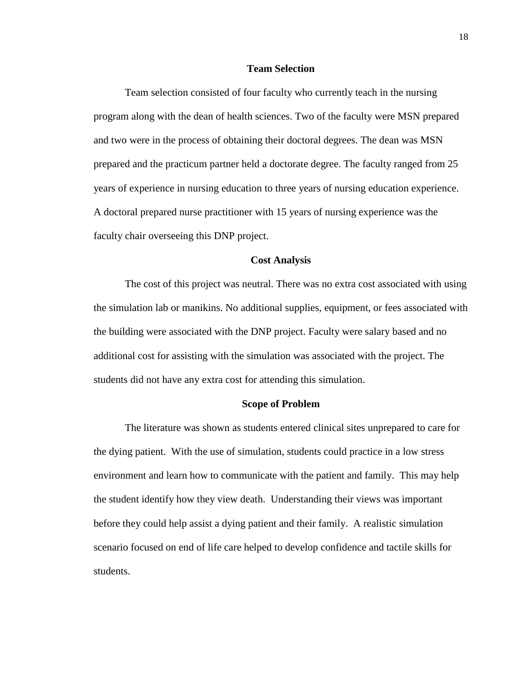#### **Team Selection**

Team selection consisted of four faculty who currently teach in the nursing program along with the dean of health sciences. Two of the faculty were MSN prepared and two were in the process of obtaining their doctoral degrees. The dean was MSN prepared and the practicum partner held a doctorate degree. The faculty ranged from 25 years of experience in nursing education to three years of nursing education experience. A doctoral prepared nurse practitioner with 15 years of nursing experience was the faculty chair overseeing this DNP project.

#### **Cost Analysis**

The cost of this project was neutral. There was no extra cost associated with using the simulation lab or manikins. No additional supplies, equipment, or fees associated with the building were associated with the DNP project. Faculty were salary based and no additional cost for assisting with the simulation was associated with the project. The students did not have any extra cost for attending this simulation.

#### **Scope of Problem**

The literature was shown as students entered clinical sites unprepared to care for the dying patient. With the use of simulation, students could practice in a low stress environment and learn how to communicate with the patient and family. This may help the student identify how they view death. Understanding their views was important before they could help assist a dying patient and their family. A realistic simulation scenario focused on end of life care helped to develop confidence and tactile skills for students.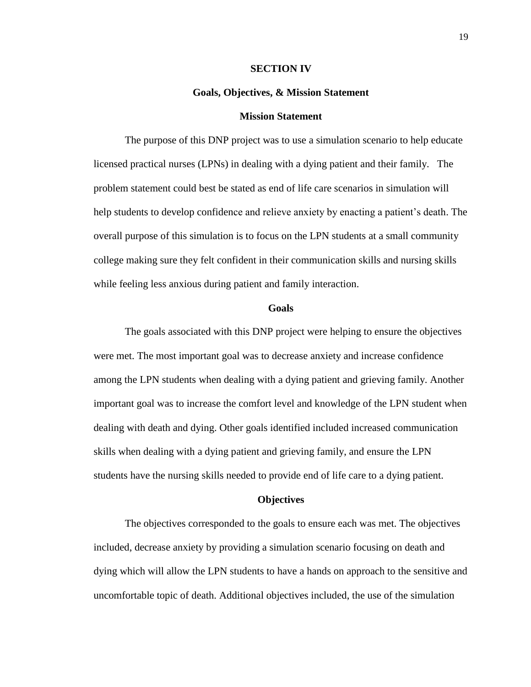#### **SECTION IV**

#### **Goals, Objectives, & Mission Statement**

#### **Mission Statement**

The purpose of this DNP project was to use a simulation scenario to help educate licensed practical nurses (LPNs) in dealing with a dying patient and their family. The problem statement could best be stated as end of life care scenarios in simulation will help students to develop confidence and relieve anxiety by enacting a patient's death. The overall purpose of this simulation is to focus on the LPN students at a small community college making sure they felt confident in their communication skills and nursing skills while feeling less anxious during patient and family interaction.

#### **Goals**

The goals associated with this DNP project were helping to ensure the objectives were met. The most important goal was to decrease anxiety and increase confidence among the LPN students when dealing with a dying patient and grieving family. Another important goal was to increase the comfort level and knowledge of the LPN student when dealing with death and dying. Other goals identified included increased communication skills when dealing with a dying patient and grieving family, and ensure the LPN students have the nursing skills needed to provide end of life care to a dying patient.

#### **Objectives**

The objectives corresponded to the goals to ensure each was met. The objectives included, decrease anxiety by providing a simulation scenario focusing on death and dying which will allow the LPN students to have a hands on approach to the sensitive and uncomfortable topic of death. Additional objectives included, the use of the simulation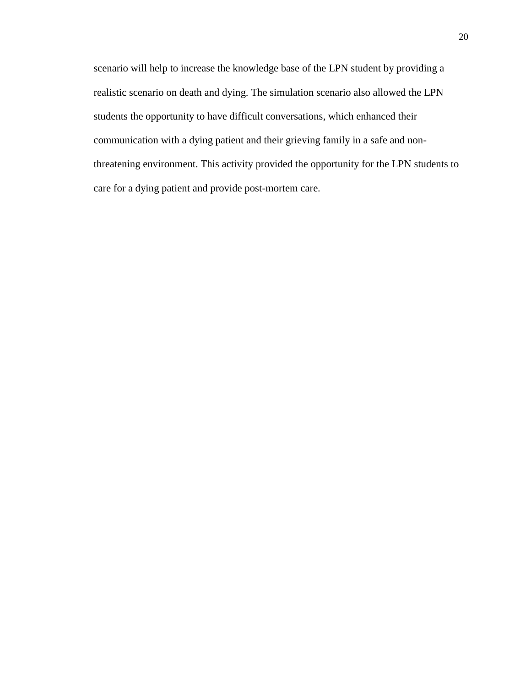scenario will help to increase the knowledge base of the LPN student by providing a realistic scenario on death and dying. The simulation scenario also allowed the LPN students the opportunity to have difficult conversations, which enhanced their communication with a dying patient and their grieving family in a safe and nonthreatening environment. This activity provided the opportunity for the LPN students to care for a dying patient and provide post-mortem care.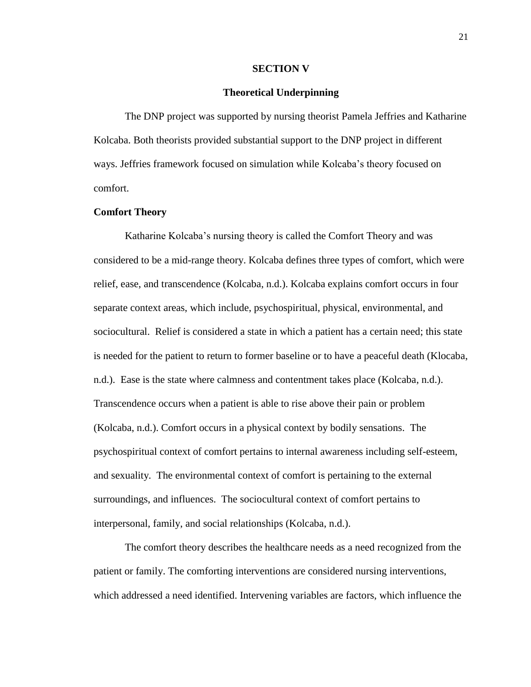#### **SECTION V**

#### **Theoretical Underpinning**

The DNP project was supported by nursing theorist Pamela Jeffries and Katharine Kolcaba. Both theorists provided substantial support to the DNP project in different ways. Jeffries framework focused on simulation while Kolcaba's theory focused on comfort.

### **Comfort Theory**

Katharine Kolcaba's nursing theory is called the Comfort Theory and was considered to be a mid-range theory. Kolcaba defines three types of comfort, which were relief, ease, and transcendence (Kolcaba, n.d.). Kolcaba explains comfort occurs in four separate context areas, which include, psychospiritual, physical, environmental, and sociocultural. Relief is considered a state in which a patient has a certain need; this state is needed for the patient to return to former baseline or to have a peaceful death (Klocaba, n.d.). Ease is the state where calmness and contentment takes place (Kolcaba, n.d.). Transcendence occurs when a patient is able to rise above their pain or problem (Kolcaba, n.d.). Comfort occurs in a physical context by bodily sensations. The psychospiritual context of comfort pertains to internal awareness including self-esteem, and sexuality. The environmental context of comfort is pertaining to the external surroundings, and influences. The sociocultural context of comfort pertains to interpersonal, family, and social relationships (Kolcaba, n.d.).

The comfort theory describes the healthcare needs as a need recognized from the patient or family. The comforting interventions are considered nursing interventions, which addressed a need identified. Intervening variables are factors, which influence the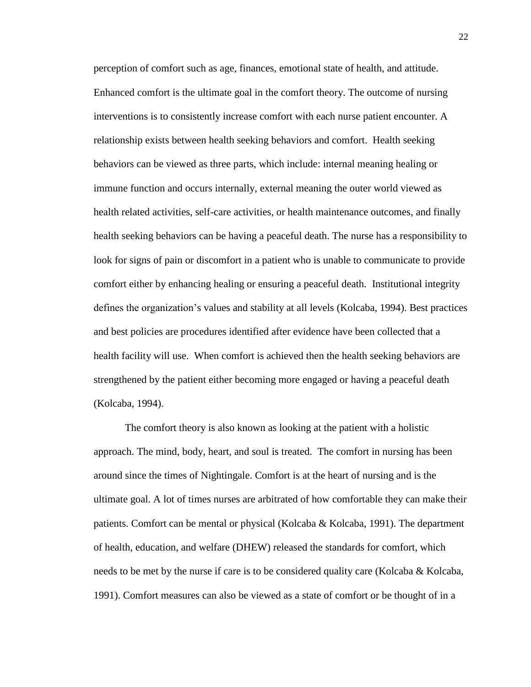perception of comfort such as age, finances, emotional state of health, and attitude. Enhanced comfort is the ultimate goal in the comfort theory. The outcome of nursing interventions is to consistently increase comfort with each nurse patient encounter. A relationship exists between health seeking behaviors and comfort. Health seeking behaviors can be viewed as three parts, which include: internal meaning healing or immune function and occurs internally, external meaning the outer world viewed as health related activities, self-care activities, or health maintenance outcomes, and finally health seeking behaviors can be having a peaceful death. The nurse has a responsibility to look for signs of pain or discomfort in a patient who is unable to communicate to provide comfort either by enhancing healing or ensuring a peaceful death. Institutional integrity defines the organization's values and stability at all levels (Kolcaba, 1994). Best practices and best policies are procedures identified after evidence have been collected that a health facility will use. When comfort is achieved then the health seeking behaviors are strengthened by the patient either becoming more engaged or having a peaceful death (Kolcaba, 1994).

The comfort theory is also known as looking at the patient with a holistic approach. The mind, body, heart, and soul is treated. The comfort in nursing has been around since the times of Nightingale. Comfort is at the heart of nursing and is the ultimate goal. A lot of times nurses are arbitrated of how comfortable they can make their patients. Comfort can be mental or physical (Kolcaba & Kolcaba, 1991). The department of health, education, and welfare (DHEW) released the standards for comfort, which needs to be met by the nurse if care is to be considered quality care (Kolcaba & Kolcaba, 1991). Comfort measures can also be viewed as a state of comfort or be thought of in a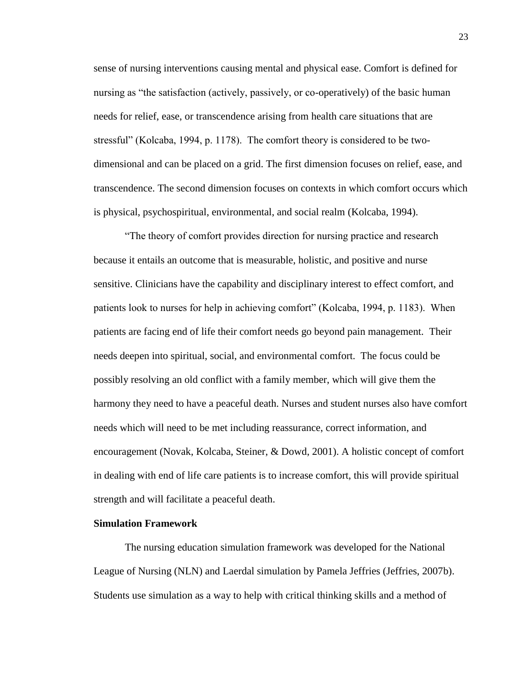sense of nursing interventions causing mental and physical ease. Comfort is defined for nursing as "the satisfaction (actively, passively, or co-operatively) of the basic human needs for relief, ease, or transcendence arising from health care situations that are stressful" (Kolcaba, 1994, p. 1178). The comfort theory is considered to be twodimensional and can be placed on a grid. The first dimension focuses on relief, ease, and transcendence. The second dimension focuses on contexts in which comfort occurs which is physical, psychospiritual, environmental, and social realm (Kolcaba, 1994).

"The theory of comfort provides direction for nursing practice and research because it entails an outcome that is measurable, holistic, and positive and nurse sensitive. Clinicians have the capability and disciplinary interest to effect comfort, and patients look to nurses for help in achieving comfort" (Kolcaba, 1994, p. 1183). When patients are facing end of life their comfort needs go beyond pain management. Their needs deepen into spiritual, social, and environmental comfort. The focus could be possibly resolving an old conflict with a family member, which will give them the harmony they need to have a peaceful death. Nurses and student nurses also have comfort needs which will need to be met including reassurance, correct information, and encouragement (Novak, Kolcaba, Steiner, & Dowd, 2001). A holistic concept of comfort in dealing with end of life care patients is to increase comfort, this will provide spiritual strength and will facilitate a peaceful death.

### **Simulation Framework**

The nursing education simulation framework was developed for the National League of Nursing (NLN) and Laerdal simulation by Pamela Jeffries (Jeffries, 2007b). Students use simulation as a way to help with critical thinking skills and a method of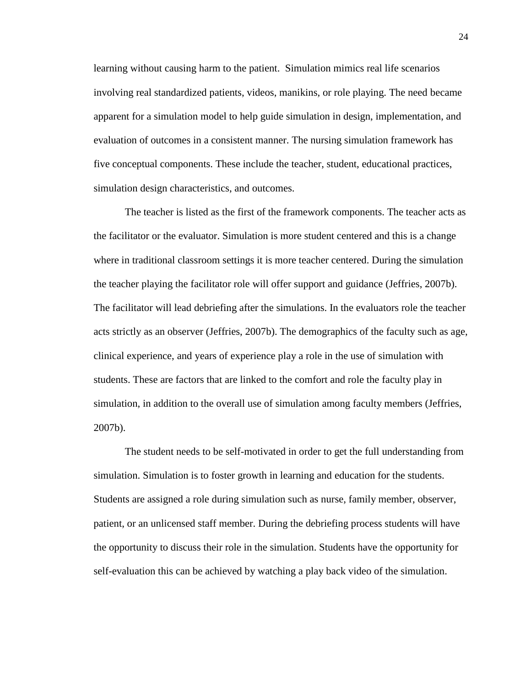learning without causing harm to the patient. Simulation mimics real life scenarios involving real standardized patients, videos, manikins, or role playing. The need became apparent for a simulation model to help guide simulation in design, implementation, and evaluation of outcomes in a consistent manner. The nursing simulation framework has five conceptual components. These include the teacher, student, educational practices, simulation design characteristics, and outcomes.

The teacher is listed as the first of the framework components. The teacher acts as the facilitator or the evaluator. Simulation is more student centered and this is a change where in traditional classroom settings it is more teacher centered. During the simulation the teacher playing the facilitator role will offer support and guidance (Jeffries, 2007b). The facilitator will lead debriefing after the simulations. In the evaluators role the teacher acts strictly as an observer (Jeffries, 2007b). The demographics of the faculty such as age, clinical experience, and years of experience play a role in the use of simulation with students. These are factors that are linked to the comfort and role the faculty play in simulation, in addition to the overall use of simulation among faculty members (Jeffries, 2007b).

The student needs to be self-motivated in order to get the full understanding from simulation. Simulation is to foster growth in learning and education for the students. Students are assigned a role during simulation such as nurse, family member, observer, patient, or an unlicensed staff member. During the debriefing process students will have the opportunity to discuss their role in the simulation. Students have the opportunity for self-evaluation this can be achieved by watching a play back video of the simulation.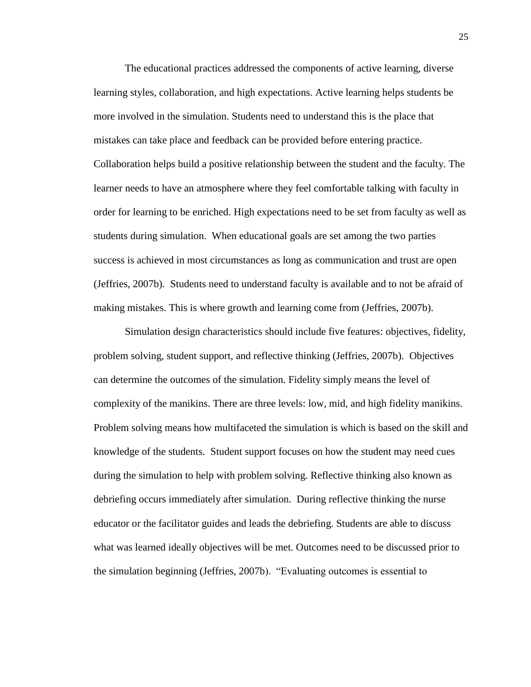The educational practices addressed the components of active learning, diverse learning styles, collaboration, and high expectations. Active learning helps students be more involved in the simulation. Students need to understand this is the place that mistakes can take place and feedback can be provided before entering practice. Collaboration helps build a positive relationship between the student and the faculty. The learner needs to have an atmosphere where they feel comfortable talking with faculty in order for learning to be enriched. High expectations need to be set from faculty as well as students during simulation. When educational goals are set among the two parties success is achieved in most circumstances as long as communication and trust are open (Jeffries, 2007b). Students need to understand faculty is available and to not be afraid of making mistakes. This is where growth and learning come from (Jeffries, 2007b).

Simulation design characteristics should include five features: objectives, fidelity, problem solving, student support, and reflective thinking (Jeffries, 2007b). Objectives can determine the outcomes of the simulation. Fidelity simply means the level of complexity of the manikins. There are three levels: low, mid, and high fidelity manikins. Problem solving means how multifaceted the simulation is which is based on the skill and knowledge of the students. Student support focuses on how the student may need cues during the simulation to help with problem solving. Reflective thinking also known as debriefing occurs immediately after simulation. During reflective thinking the nurse educator or the facilitator guides and leads the debriefing. Students are able to discuss what was learned ideally objectives will be met. Outcomes need to be discussed prior to the simulation beginning (Jeffries, 2007b). "Evaluating outcomes is essential to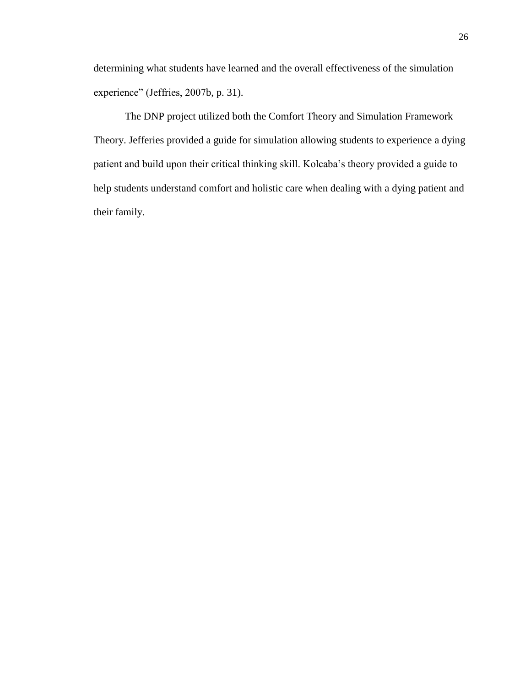determining what students have learned and the overall effectiveness of the simulation experience" (Jeffries, 2007b, p. 31).

The DNP project utilized both the Comfort Theory and Simulation Framework Theory. Jefferies provided a guide for simulation allowing students to experience a dying patient and build upon their critical thinking skill. Kolcaba's theory provided a guide to help students understand comfort and holistic care when dealing with a dying patient and their family.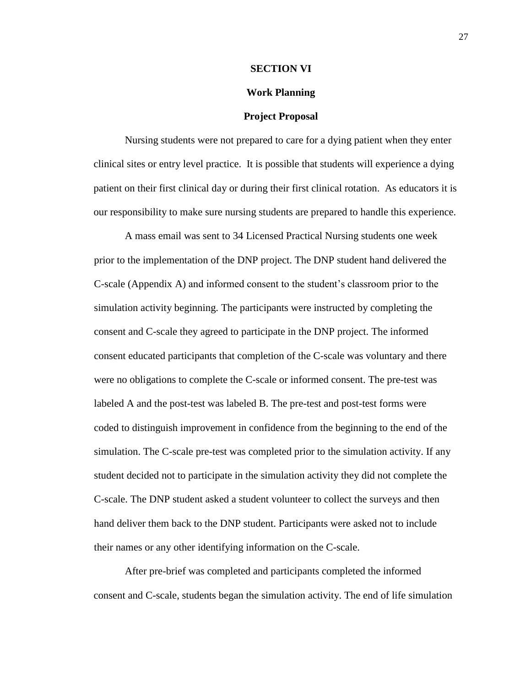#### **SECTION VI**

### **Work Planning**

#### **Project Proposal**

Nursing students were not prepared to care for a dying patient when they enter clinical sites or entry level practice. It is possible that students will experience a dying patient on their first clinical day or during their first clinical rotation. As educators it is our responsibility to make sure nursing students are prepared to handle this experience.

A mass email was sent to 34 Licensed Practical Nursing students one week prior to the implementation of the DNP project. The DNP student hand delivered the C-scale (Appendix A) and informed consent to the student's classroom prior to the simulation activity beginning. The participants were instructed by completing the consent and C-scale they agreed to participate in the DNP project. The informed consent educated participants that completion of the C-scale was voluntary and there were no obligations to complete the C-scale or informed consent. The pre-test was labeled A and the post-test was labeled B. The pre-test and post-test forms were coded to distinguish improvement in confidence from the beginning to the end of the simulation. The C-scale pre-test was completed prior to the simulation activity. If any student decided not to participate in the simulation activity they did not complete the C-scale. The DNP student asked a student volunteer to collect the surveys and then hand deliver them back to the DNP student. Participants were asked not to include their names or any other identifying information on the C-scale.

After pre-brief was completed and participants completed the informed consent and C-scale, students began the simulation activity. The end of life simulation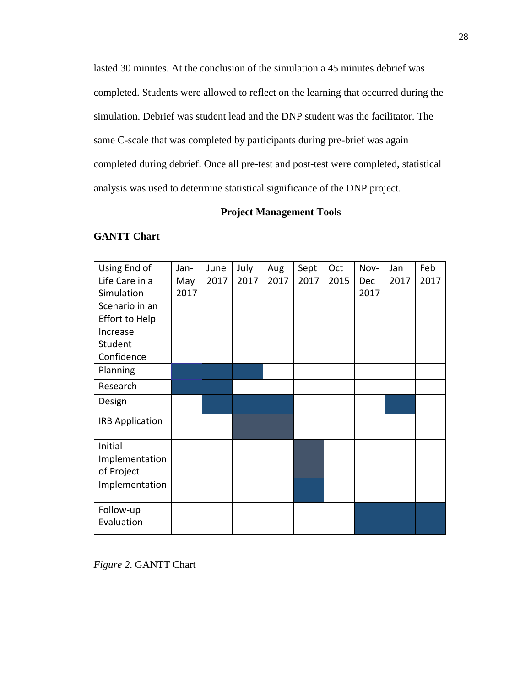lasted 30 minutes. At the conclusion of the simulation a 45 minutes debrief was completed. Students were allowed to reflect on the learning that occurred during the simulation. Debrief was student lead and the DNP student was the facilitator. The same C-scale that was completed by participants during pre-brief was again completed during debrief. Once all pre-test and post-test were completed, statistical analysis was used to determine statistical significance of the DNP project.

# **Project Management Tools**

## **GANTT Chart**

| Using End of           | Jan- | June | July | Aug  | Sept | Oct  | Nov-       | Jan  | Feb  |
|------------------------|------|------|------|------|------|------|------------|------|------|
| Life Care in a         | May  | 2017 | 2017 | 2017 | 2017 | 2015 | <b>Dec</b> | 2017 | 2017 |
| Simulation             | 2017 |      |      |      |      |      | 2017       |      |      |
| Scenario in an         |      |      |      |      |      |      |            |      |      |
| <b>Effort to Help</b>  |      |      |      |      |      |      |            |      |      |
| Increase               |      |      |      |      |      |      |            |      |      |
| Student                |      |      |      |      |      |      |            |      |      |
| Confidence             |      |      |      |      |      |      |            |      |      |
| Planning               |      |      |      |      |      |      |            |      |      |
| Research               |      |      |      |      |      |      |            |      |      |
| Design                 |      |      |      |      |      |      |            |      |      |
| <b>IRB Application</b> |      |      |      |      |      |      |            |      |      |
| Initial                |      |      |      |      |      |      |            |      |      |
| Implementation         |      |      |      |      |      |      |            |      |      |
| of Project             |      |      |      |      |      |      |            |      |      |
| Implementation         |      |      |      |      |      |      |            |      |      |
| Follow-up              |      |      |      |      |      |      |            |      |      |
| Evaluation             |      |      |      |      |      |      |            |      |      |

*Figure 2*. GANTT Chart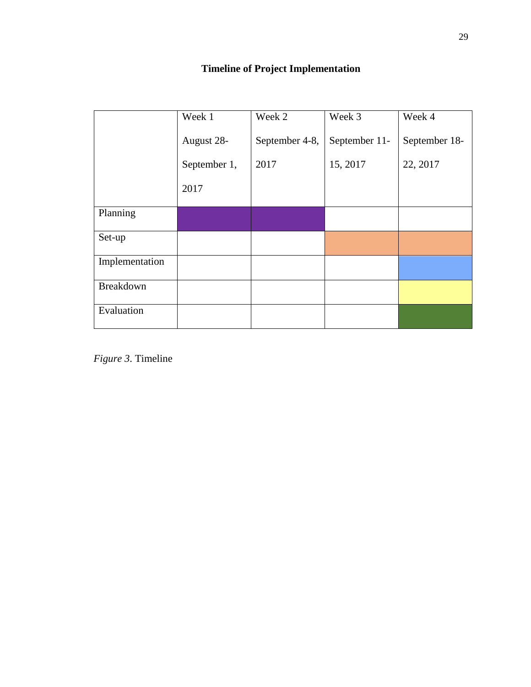|                | Week 1       | Week 2         | Week 3        | Week 4        |
|----------------|--------------|----------------|---------------|---------------|
|                | August 28-   | September 4-8, | September 11- | September 18- |
|                | September 1, | 2017           | 15, 2017      | 22, 2017      |
|                | 2017         |                |               |               |
| Planning       |              |                |               |               |
| Set-up         |              |                |               |               |
| Implementation |              |                |               |               |
| Breakdown      |              |                |               |               |
| Evaluation     |              |                |               |               |

*Figure 3*. Timeline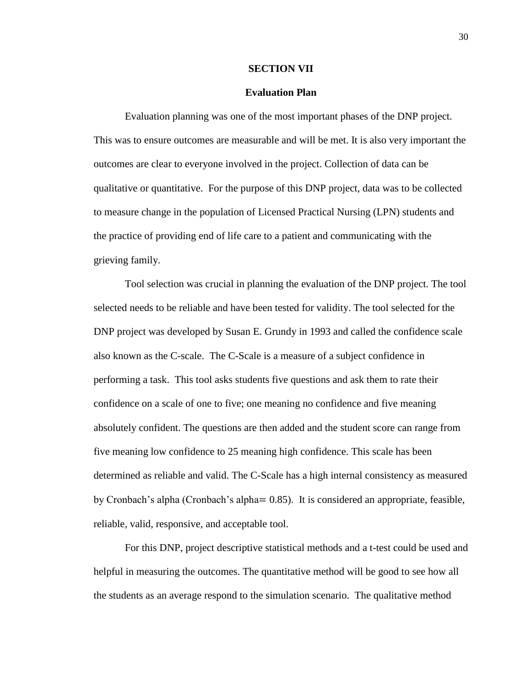#### **SECTION VII**

#### **Evaluation Plan**

Evaluation planning was one of the most important phases of the DNP project. This was to ensure outcomes are measurable and will be met. It is also very important the outcomes are clear to everyone involved in the project. Collection of data can be qualitative or quantitative. For the purpose of this DNP project, data was to be collected to measure change in the population of Licensed Practical Nursing (LPN) students and the practice of providing end of life care to a patient and communicating with the grieving family.

Tool selection was crucial in planning the evaluation of the DNP project. The tool selected needs to be reliable and have been tested for validity. The tool selected for the DNP project was developed by Susan E. Grundy in 1993 and called the confidence scale also known as the C-scale. The C-Scale is a measure of a subject confidence in performing a task. This tool asks students five questions and ask them to rate their confidence on a scale of one to five; one meaning no confidence and five meaning absolutely confident. The questions are then added and the student score can range from five meaning low confidence to 25 meaning high confidence. This scale has been determined as reliable and valid. The C-Scale has a high internal consistency as measured by Cronbach's alpha (Cronbach's alpha= 0.85). It is considered an appropriate, feasible, reliable, valid, responsive, and acceptable tool.

For this DNP, project descriptive statistical methods and a t-test could be used and helpful in measuring the outcomes. The quantitative method will be good to see how all the students as an average respond to the simulation scenario. The qualitative method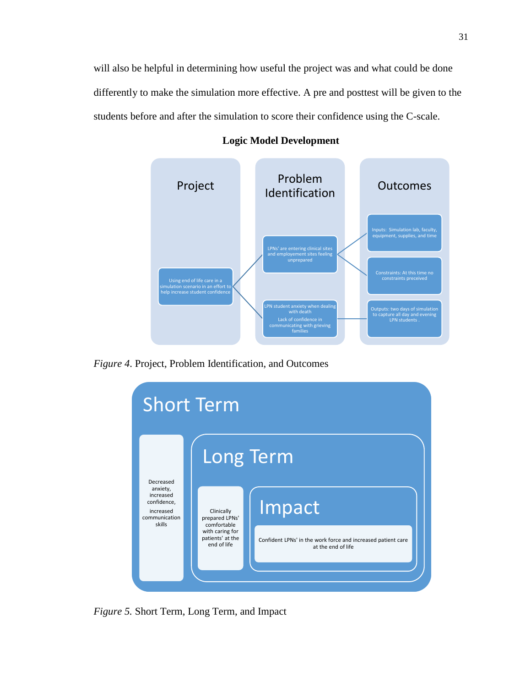will also be helpful in determining how useful the project was and what could be done differently to make the simulation more effective. A pre and posttest will be given to the students before and after the simulation to score their confidence using the C-scale.



**Logic Model Development**

*Figure 4*. Project, Problem Identification, and Outcomes



*Figure 5.* Short Term, Long Term, and Impact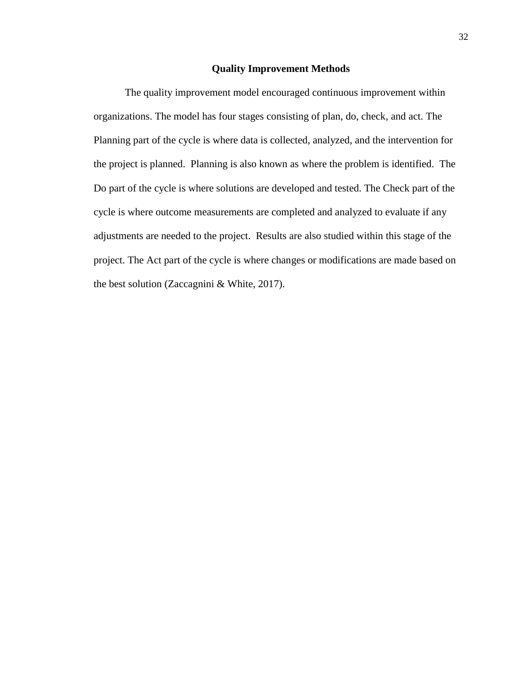#### **Quality Improvement Methods**

The quality improvement model encouraged continuous improvement within organizations. The model has four stages consisting of plan, do, check, and act. The Planning part of the cycle is where data is collected, analyzed, and the intervention for the project is planned. Planning is also known as where the problem is identified. The Do part of the cycle is where solutions are developed and tested. The Check part of the cycle is where outcome measurements are completed and analyzed to evaluate if any adjustments are needed to the project. Results are also studied within this stage of the project. The Act part of the cycle is where changes or modifications are made based on the best solution (Zaccagnini & White, 2017).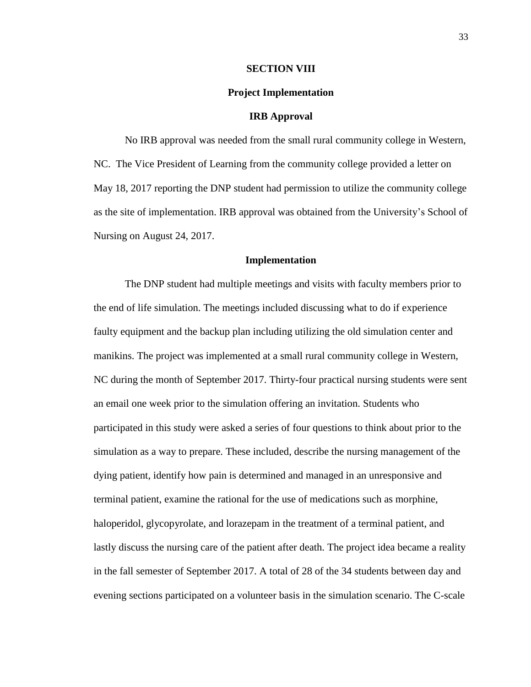#### **SECTION VIII**

#### **Project Implementation**

#### **IRB Approval**

No IRB approval was needed from the small rural community college in Western, NC. The Vice President of Learning from the community college provided a letter on May 18, 2017 reporting the DNP student had permission to utilize the community college as the site of implementation. IRB approval was obtained from the University's School of Nursing on August 24, 2017.

#### **Implementation**

The DNP student had multiple meetings and visits with faculty members prior to the end of life simulation. The meetings included discussing what to do if experience faulty equipment and the backup plan including utilizing the old simulation center and manikins. The project was implemented at a small rural community college in Western, NC during the month of September 2017. Thirty-four practical nursing students were sent an email one week prior to the simulation offering an invitation. Students who participated in this study were asked a series of four questions to think about prior to the simulation as a way to prepare. These included, describe the nursing management of the dying patient, identify how pain is determined and managed in an unresponsive and terminal patient, examine the rational for the use of medications such as morphine, haloperidol, glycopyrolate, and lorazepam in the treatment of a terminal patient, and lastly discuss the nursing care of the patient after death. The project idea became a reality in the fall semester of September 2017. A total of 28 of the 34 students between day and evening sections participated on a volunteer basis in the simulation scenario. The C-scale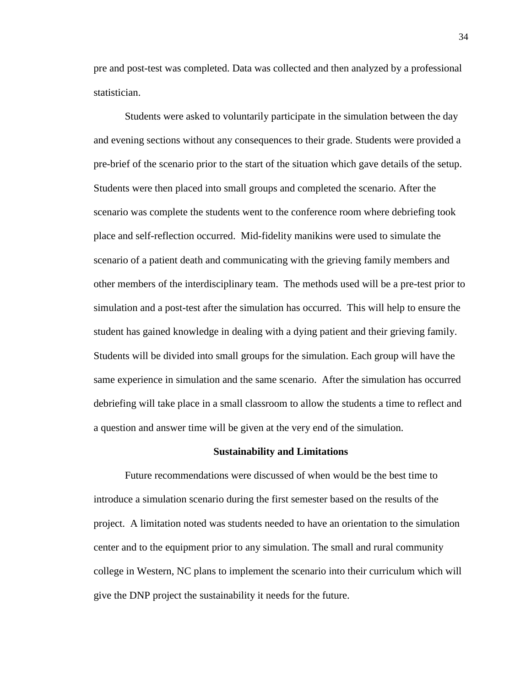pre and post-test was completed. Data was collected and then analyzed by a professional statistician.

Students were asked to voluntarily participate in the simulation between the day and evening sections without any consequences to their grade. Students were provided a pre-brief of the scenario prior to the start of the situation which gave details of the setup. Students were then placed into small groups and completed the scenario. After the scenario was complete the students went to the conference room where debriefing took place and self-reflection occurred. Mid-fidelity manikins were used to simulate the scenario of a patient death and communicating with the grieving family members and other members of the interdisciplinary team. The methods used will be a pre-test prior to simulation and a post-test after the simulation has occurred. This will help to ensure the student has gained knowledge in dealing with a dying patient and their grieving family. Students will be divided into small groups for the simulation. Each group will have the same experience in simulation and the same scenario. After the simulation has occurred debriefing will take place in a small classroom to allow the students a time to reflect and a question and answer time will be given at the very end of the simulation.

#### **Sustainability and Limitations**

Future recommendations were discussed of when would be the best time to introduce a simulation scenario during the first semester based on the results of the project. A limitation noted was students needed to have an orientation to the simulation center and to the equipment prior to any simulation. The small and rural community college in Western, NC plans to implement the scenario into their curriculum which will give the DNP project the sustainability it needs for the future.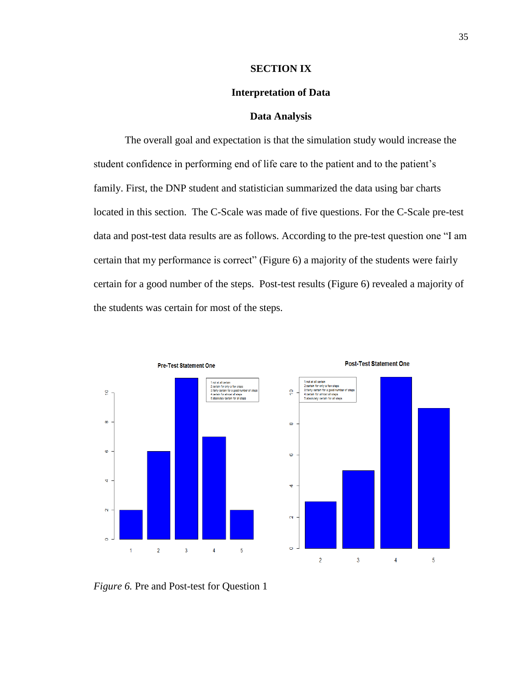#### **SECTION IX**

### **Interpretation of Data**

#### **Data Analysis**

The overall goal and expectation is that the simulation study would increase the student confidence in performing end of life care to the patient and to the patient's family. First, the DNP student and statistician summarized the data using bar charts located in this section. The C-Scale was made of five questions. For the C-Scale pre-test data and post-test data results are as follows. According to the pre-test question one "I am certain that my performance is correct" (Figure 6) a majority of the students were fairly certain for a good number of the steps. Post-test results (Figure 6) revealed a majority of the students was certain for most of the steps.





*Figure 6.* Pre and Post-test for Question 1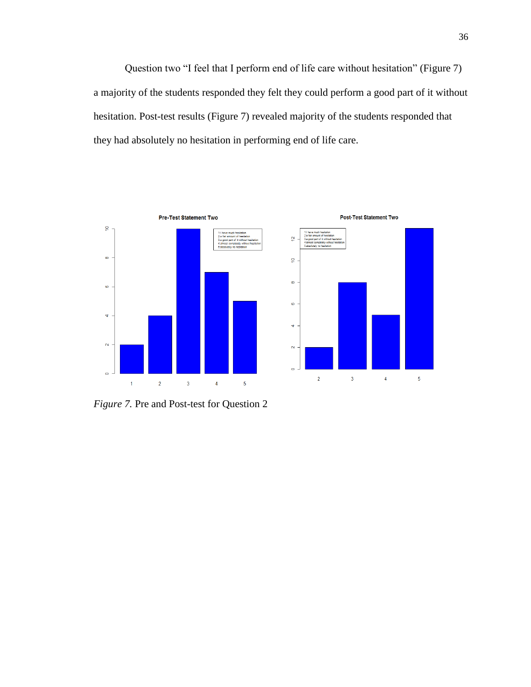Question two "I feel that I perform end of life care without hesitation" (Figure 7) a majority of the students responded they felt they could perform a good part of it without hesitation. Post-test results (Figure 7) revealed majority of the students responded that they had absolutely no hesitation in performing end of life care.



*Figure 7.* Pre and Post-test for Question 2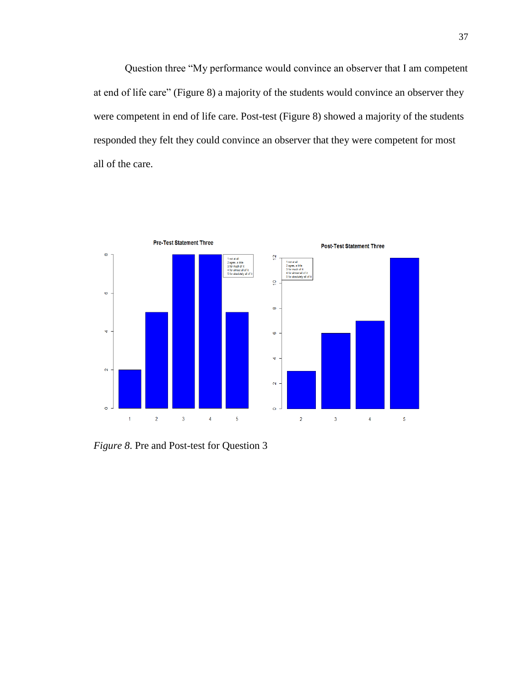Question three "My performance would convince an observer that I am competent at end of life care" (Figure 8) a majority of the students would convince an observer they were competent in end of life care. Post-test (Figure 8) showed a majority of the students responded they felt they could convince an observer that they were competent for most all of the care.



*Figure 8*. Pre and Post-test for Question 3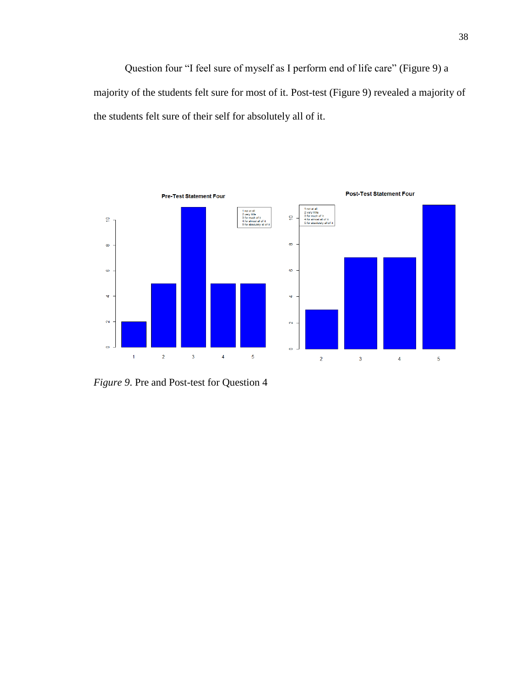Question four "I feel sure of myself as I perform end of life care" (Figure 9) a majority of the students felt sure for most of it. Post-test (Figure 9) revealed a majority of the students felt sure of their self for absolutely all of it.



*Figure 9*. Pre and Post-test for Question 4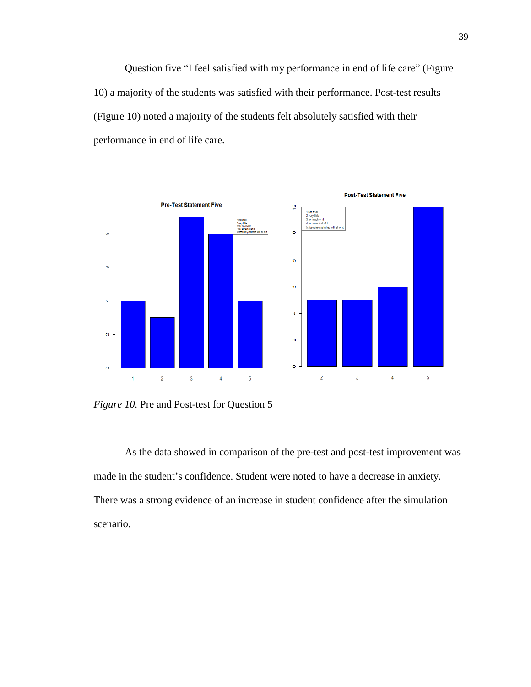Question five "I feel satisfied with my performance in end of life care" (Figure 10) a majority of the students was satisfied with their performance. Post-test results (Figure 10) noted a majority of the students felt absolutely satisfied with their performance in end of life care.



*Figure 10.* Pre and Post-test for Question 5

As the data showed in comparison of the pre-test and post-test improvement was made in the student's confidence. Student were noted to have a decrease in anxiety. There was a strong evidence of an increase in student confidence after the simulation scenario.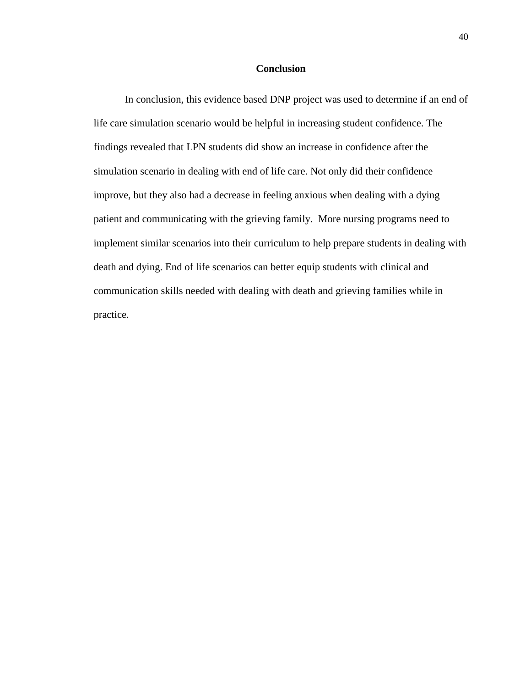### **Conclusion**

In conclusion, this evidence based DNP project was used to determine if an end of life care simulation scenario would be helpful in increasing student confidence. The findings revealed that LPN students did show an increase in confidence after the simulation scenario in dealing with end of life care. Not only did their confidence improve, but they also had a decrease in feeling anxious when dealing with a dying patient and communicating with the grieving family. More nursing programs need to implement similar scenarios into their curriculum to help prepare students in dealing with death and dying. End of life scenarios can better equip students with clinical and communication skills needed with dealing with death and grieving families while in practice.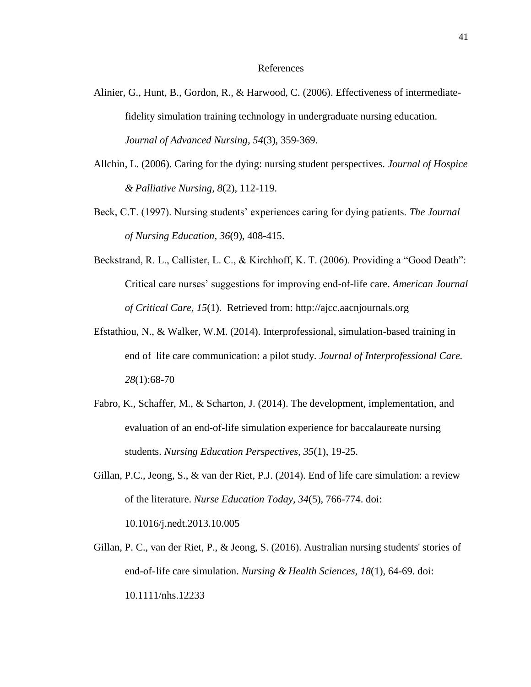#### References

- Alinier, G., Hunt, B., Gordon, R., & Harwood, C. (2006). Effectiveness of intermediatefidelity simulation training technology in undergraduate nursing education. *Journal of Advanced Nursing, 54*(3), 359-369.
- Allchin, L. (2006). Caring for the dying: nursing student perspectives. *Journal of Hospice & Palliative Nursing, 8*(2), 112-119.
- Beck, C.T. (1997). Nursing students' experiences caring for dying patients. *The Journal of Nursing Education, 36*(9), 408-415.
- Beckstrand, R. L., Callister, L. C., & Kirchhoff, K. T. (2006). Providing a "Good Death": Critical care nurses' suggestions for improving end-of-life care. *American Journal of Critical Care, 15*(1). Retrieved from: http://ajcc.aacnjournals.org
- Efstathiou, N., & Walker, W.M. (2014). Interprofessional, simulation-based training in end of life care communication: a pilot study. *Journal of Interprofessional Care. 28*(1):68-70
- Fabro, K., Schaffer, M., & Scharton, J. (2014). The development, implementation, and evaluation of an end-of-life simulation experience for baccalaureate nursing students. *Nursing Education Perspectives, 35*(1), 19-25.
- Gillan, P.C., Jeong, S., & van der Riet, P.J. (2014). End of life care simulation: a review of the literature. *Nurse Education Today, 34*(5), 766-774. doi: 10.1016/j.nedt.2013.10.005
- Gillan, P. C., van der Riet, P., & Jeong, S. (2016). Australian nursing students' stories of end-of-life care simulation. *Nursing & Health Sciences, 18*(1), 64-69. doi: 10.1111/nhs.12233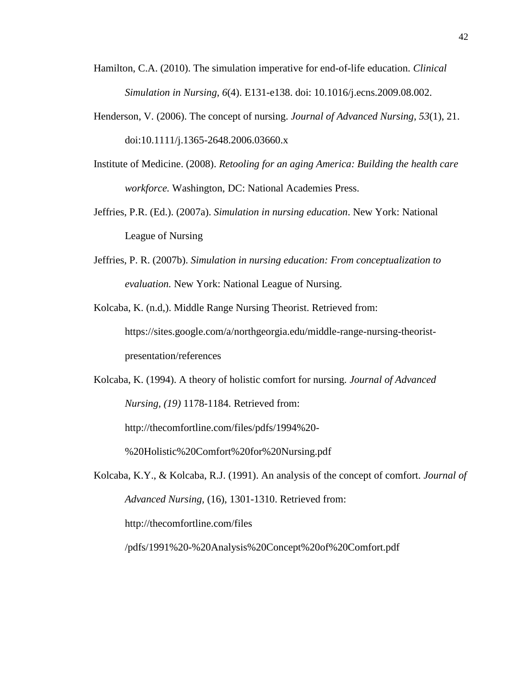- Hamilton, C.A. (2010). The simulation imperative for end-of-life education. *Clinical Simulation in Nursing, 6*(4). E131-e138. doi: 10.1016/j.ecns.2009.08.002.
- Henderson, V. (2006). The concept of nursing. *Journal of Advanced Nursing*, *53*(1), 21. doi:10.1111/j.1365-2648.2006.03660.x
- Institute of Medicine. (2008). *Retooling for an aging America: Building the health care workforce.* Washington, DC: National Academies Press.
- Jeffries, P.R. (Ed.). (2007a). *Simulation in nursing education*. New York: National League of Nursing
- Jeffries, P. R. (2007b). *Simulation in nursing education: From conceptualization to evaluation.* New York: National League of Nursing.
- Kolcaba, K. (n.d,). Middle Range Nursing Theorist. Retrieved from: https://sites.google.com/a/northgeorgia.edu/middle-range-nursing-theoristpresentation/references
- Kolcaba, K. (1994). A theory of holistic comfort for nursing. *Journal of Advanced Nursing, (19)* 1178-1184. Retrieved from:

http://thecomfortline.com/files/pdfs/1994%20-

%20Holistic%20Comfort%20for%20Nursing.pdf

Kolcaba, K.Y., & Kolcaba, R.J. (1991). An analysis of the concept of comfort. *Journal of Advanced Nursing,* (16), 1301-1310. Retrieved from: http://thecomfortline.com/files

/pdfs/1991%20-%20Analysis%20Concept%20of%20Comfort.pdf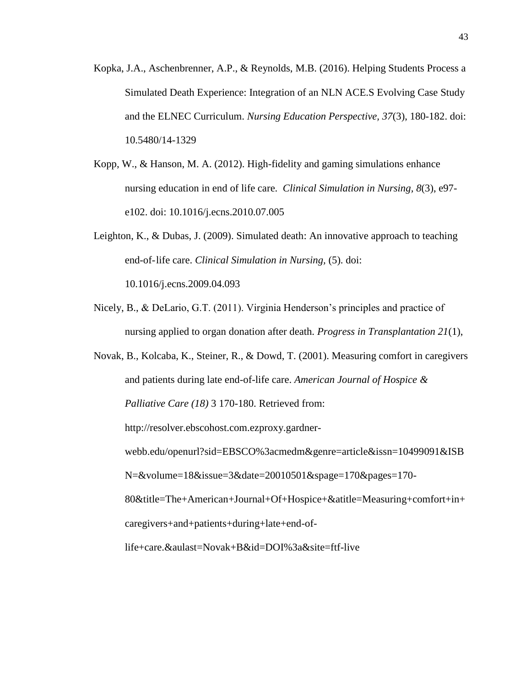- Kopka, J.A., Aschenbrenner, A.P., & Reynolds, M.B. (2016). Helping Students Process a Simulated Death Experience: Integration of an NLN ACE.S Evolving Case Study and the ELNEC Curriculum. *Nursing Education Perspective, 37*(3), 180-182. doi: 10.5480/14-1329
- Kopp, W., & Hanson, M. A. (2012). High-fidelity and gaming simulations enhance nursing education in end of life care. *Clinical Simulation in Nursing, 8*(3), e97 e102. doi: 10.1016/j.ecns.2010.07.005
- Leighton, K., & Dubas, J. (2009). Simulated death: An innovative approach to teaching end-of-life care. *Clinical Simulation in Nursing,* (5). doi: 10.1016/j.ecns.2009.04.093
- Nicely, B., & DeLario, G.T. (2011). Virginia Henderson's principles and practice of nursing applied to organ donation after death. *Progress in Transplantation 21*(1),

Novak, B., Kolcaba, K., Steiner, R., & Dowd, T. (2001). Measuring comfort in caregivers and patients during late end-of-life care. *American Journal of Hospice & Palliative Care (18)* 3 170-180. Retrieved from: http://resolver.ebscohost.com.ezproxy.gardnerwebb.edu/openurl?sid=EBSCO%3acmedm&genre=article&issn=10499091&ISB N=&volume=18&issue=3&date=20010501&spage=170&pages=170- 80&title=The+American+Journal+Of+Hospice+&atitle=Measuring+comfort+in+ caregivers+and+patients+during+late+end-oflife+care.&aulast=Novak+B&id=DOI%3a&site=ftf-live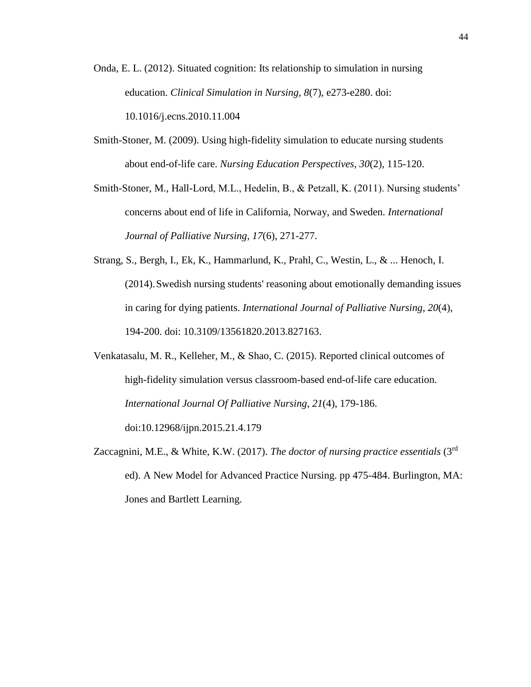- Onda, E. L. (2012). Situated cognition: Its relationship to simulation in nursing education. *Clinical Simulation in Nursing, 8*(7), e273-e280. doi: 10.1016/j.ecns.2010.11.004
- Smith-Stoner, M. (2009). Using high-fidelity simulation to educate nursing students about end-of-life care. *Nursing Education Perspectives, 30*(2), 115-120.

Smith-Stoner, M., Hall-Lord, M.L., Hedelin, B., & Petzall, K. (2011). Nursing students' concerns about end of life in California, Norway, and Sweden. *International Journal of Palliative Nursing, 17*(6), 271-277.

- Strang, S., Bergh, I., Ek, K., Hammarlund, K., Prahl, C., Westin, L., & ... Henoch, I. (2014).Swedish nursing students' reasoning about emotionally demanding issues in caring for dying patients. *International Journal of Palliative Nursing*, *20*(4), 194-200. doi: 10.3109/13561820.2013.827163.
- Venkatasalu, M. R., Kelleher, M., & Shao, C. (2015). Reported clinical outcomes of high-fidelity simulation versus classroom-based end-of-life care education. *International Journal Of Palliative Nursing*, *21*(4), 179-186. doi:10.12968/ijpn.2015.21.4.179
- Zaccagnini, M.E., & White, K.W. (2017). *The doctor of nursing practice essentials* (3rd ed). A New Model for Advanced Practice Nursing. pp 475-484. Burlington, MA: Jones and Bartlett Learning.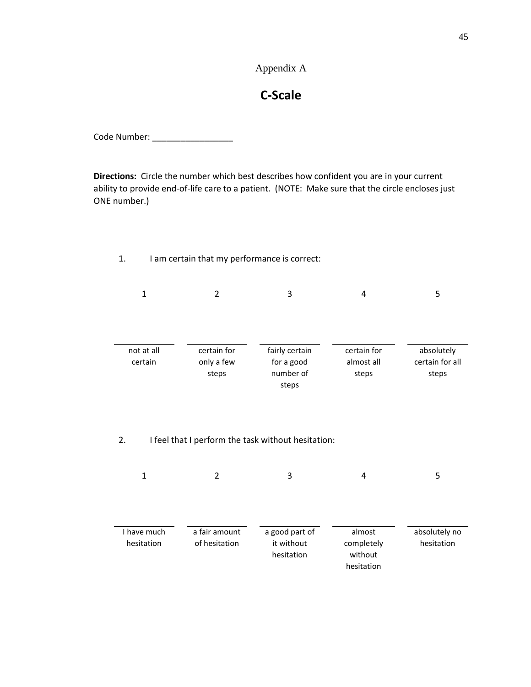# Appendix A

45

# **C-Scale**

Code Number: \_\_\_\_\_\_\_\_\_\_\_\_\_\_\_\_\_

**Directions:** Circle the number which best describes how confident you are in your current ability to provide end-of-life care to a patient. (NOTE: Make sure that the circle encloses just ONE number.)

1. I am certain that my performance is correct:

| $\mathbf{1}$              | $\overline{2}$                     | 3                                                       | 4                                             | 5                                      |
|---------------------------|------------------------------------|---------------------------------------------------------|-----------------------------------------------|----------------------------------------|
| not at all<br>certain     | certain for<br>only a few<br>steps | fairly certain<br>for a good<br>number of<br>steps      | certain for<br>almost all<br>steps            | absolutely<br>certain for all<br>steps |
| 2.<br>$\mathbf{1}$        | 2                                  | I feel that I perform the task without hesitation:<br>3 | 4                                             | 5                                      |
| I have much<br>hesitation | a fair amount<br>of hesitation     | a good part of<br>it without<br>hesitation              | almost<br>completely<br>without<br>hesitation | absolutely no<br>hesitation            |